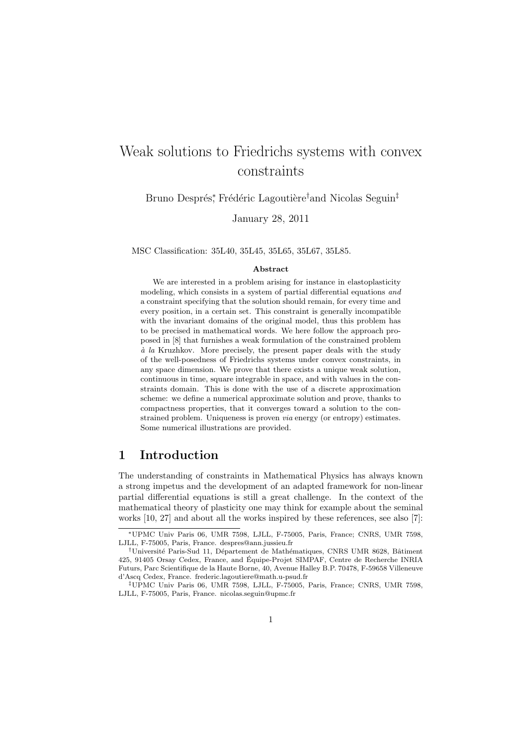# Weak solutions to Friedrichs systems with convex constraints

Bruno Després\*, Frédéric Lagoutière†and Nicolas Seguin‡

January 28, 2011

MSC Classification: 35L40, 35L45, 35L65, 35L67, 35L85.

#### Abstract

We are interested in a problem arising for instance in elastoplasticity modeling, which consists in a system of partial differential equations and a constraint specifying that the solution should remain, for every time and every position, in a certain set. This constraint is generally incompatible with the invariant domains of the original model, thus this problem has to be precised in mathematical words. We here follow the approach proposed in [8] that furnishes a weak formulation of the constrained problem  $\dot{a}$  la Kruzhkov. More precisely, the present paper deals with the study of the well-posedness of Friedrichs systems under convex constraints, in any space dimension. We prove that there exists a unique weak solution, continuous in time, square integrable in space, and with values in the constraints domain. This is done with the use of a discrete approximation scheme: we define a numerical approximate solution and prove, thanks to compactness properties, that it converges toward a solution to the constrained problem. Uniqueness is proven *via* energy (or entropy) estimates. Some numerical illustrations are provided.

### 1 Introduction

The understanding of constraints in Mathematical Physics has always known a strong impetus and the development of an adapted framework for non-linear partial differential equations is still a great challenge. In the context of the mathematical theory of plasticity one may think for example about the seminal works [10, 27] and about all the works inspired by these references, see also [7]:

<sup>∗</sup>UPMC Univ Paris 06, UMR 7598, LJLL, F-75005, Paris, France; CNRS, UMR 7598, LJLL, F-75005, Paris, France. despres@ann.jussieu.fr

<sup>&</sup>lt;sup>†</sup>Université Paris-Sud 11, Département de Mathématiques, CNRS UMR 8628, Bâtiment 425, 91405 Orsay Cedex, France, and Equipe-Projet SIMPAF, Centre de Recherche INRIA ´ Futurs, Parc Scientifique de la Haute Borne, 40, Avenue Halley B.P. 70478, F-59658 Villeneuve d'Ascq Cedex, France. frederic.lagoutiere@math.u-psud.fr

<sup>‡</sup>UPMC Univ Paris 06, UMR 7598, LJLL, F-75005, Paris, France; CNRS, UMR 7598, LJLL, F-75005, Paris, France. nicolas.seguin@upmc.fr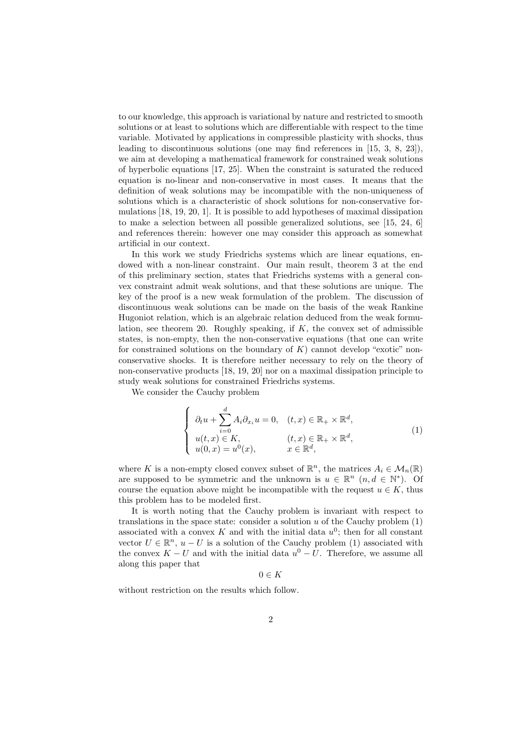to our knowledge, this approach is variational by nature and restricted to smooth solutions or at least to solutions which are differentiable with respect to the time variable. Motivated by applications in compressible plasticity with shocks, thus leading to discontinuous solutions (one may find references in [15, 3, 8, 23]), we aim at developing a mathematical framework for constrained weak solutions of hyperbolic equations [17, 25]. When the constraint is saturated the reduced equation is no-linear and non-conservative in most cases. It means that the definition of weak solutions may be incompatible with the non-uniqueness of solutions which is a characteristic of shock solutions for non-conservative formulations [18, 19, 20, 1]. It is possible to add hypotheses of maximal dissipation to make a selection between all possible generalized solutions, see [15, 24, 6] and references therein: however one may consider this approach as somewhat artificial in our context.

In this work we study Friedrichs systems which are linear equations, endowed with a non-linear constraint. Our main result, theorem 3 at the end of this preliminary section, states that Friedrichs systems with a general convex constraint admit weak solutions, and that these solutions are unique. The key of the proof is a new weak formulation of the problem. The discussion of discontinuous weak solutions can be made on the basis of the weak Rankine Hugoniot relation, which is an algebraic relation deduced from the weak formulation, see theorem 20. Roughly speaking, if  $K$ , the convex set of admissible states, is non-empty, then the non-conservative equations (that one can write for constrained solutions on the boundary of  $K$ ) cannot develop "exotic" nonconservative shocks. It is therefore neither necessary to rely on the theory of non-conservative products [18, 19, 20] nor on a maximal dissipation principle to study weak solutions for constrained Friedrichs systems.

We consider the Cauchy problem

$$
\begin{cases}\n\partial_t u + \sum_{i=0}^d A_i \partial_{x_i} u = 0, & (t, x) \in \mathbb{R}_+ \times \mathbb{R}^d, \\
u(t, x) \in K, & (t, x) \in \mathbb{R}_+ \times \mathbb{R}^d, \\
u(0, x) = u^0(x), & x \in \mathbb{R}^d,\n\end{cases}
$$
\n(1)

where K is a non-empty closed convex subset of  $\mathbb{R}^n$ , the matrices  $A_i \in \mathcal{M}_n(\mathbb{R})$ are supposed to be symmetric and the unknown is  $u \in \mathbb{R}^n$   $(n, d \in \mathbb{N}^*)$ . Of course the equation above might be incompatible with the request  $u \in K$ , thus this problem has to be modeled first.

It is worth noting that the Cauchy problem is invariant with respect to translations in the space state: consider a solution  $u$  of the Cauchy problem  $(1)$ associated with a convex K and with the initial data  $u^0$ ; then for all constant vector  $U \in \mathbb{R}^n$ ,  $u - U$  is a solution of the Cauchy problem (1) associated with the convex  $K - U$  and with the initial data  $u^0 - U$ . Therefore, we assume all along this paper that

 $0 \in K$ 

without restriction on the results which follow.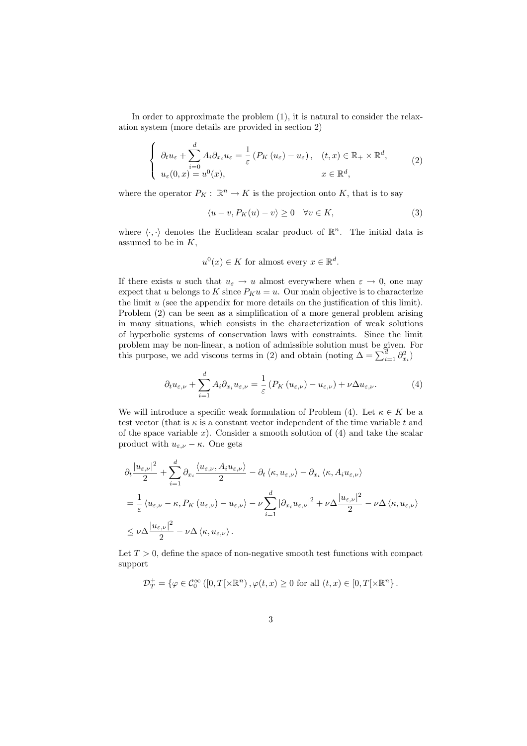In order to approximate the problem (1), it is natural to consider the relaxation system (more details are provided in section 2)

$$
\begin{cases}\n\partial_t u_{\varepsilon} + \sum_{i=0}^d A_i \partial_{x_i} u_{\varepsilon} = \frac{1}{\varepsilon} \left( P_K \left( u_{\varepsilon} \right) - u_{\varepsilon} \right), & (t, x) \in \mathbb{R}_+ \times \mathbb{R}^d, \\
u_{\varepsilon}(0, x) = u^0(x), & x \in \mathbb{R}^d,\n\end{cases}
$$
\n(2)

where the operator  $P_K: \mathbb{R}^n \to K$  is the projection onto K, that is to say

$$
\langle u - v, P_K(u) - v \rangle \ge 0 \quad \forall v \in K,
$$
\n(3)

where  $\langle \cdot, \cdot \rangle$  denotes the Euclidean scalar product of  $\mathbb{R}^n$ . The initial data is assumed to be in  $K$ ,

$$
u^0(x) \in K
$$
 for almost every  $x \in \mathbb{R}^d$ .

If there exists u such that  $u_{\varepsilon} \to u$  almost everywhere when  $\varepsilon \to 0$ , one may expect that u belongs to K since  $P_K u = u$ . Our main objective is to characterize the limit  $u$  (see the appendix for more details on the justification of this limit). Problem (2) can be seen as a simplification of a more general problem arising in many situations, which consists in the characterization of weak solutions of hyperbolic systems of conservation laws with constraints. Since the limit problem may be non-linear, a notion of admissible solution must be given. For this purpose, we add viscous terms in (2) and obtain (noting  $\Delta = \sum_{i=1}^{\tilde{d}} \partial_{x_i}^2$ )

$$
\partial_t u_{\varepsilon,\nu} + \sum_{i=1}^d A_i \partial_{x_i} u_{\varepsilon,\nu} = \frac{1}{\varepsilon} \left( P_K \left( u_{\varepsilon,\nu} \right) - u_{\varepsilon,\nu} \right) + \nu \Delta u_{\varepsilon,\nu}.
$$
 (4)

We will introduce a specific weak formulation of Problem (4). Let  $\kappa \in K$  be a test vector (that is  $\kappa$  is a constant vector independent of the time variable t and of the space variable  $x$ ). Consider a smooth solution of  $(4)$  and take the scalar product with  $u_{\varepsilon,\nu} - \kappa$ . One gets

$$
\partial_{t} \frac{|u_{\varepsilon,\nu}|^{2}}{2} + \sum_{i=1}^{d} \partial_{x_{i}} \frac{\langle u_{\varepsilon,\nu}, A_{i} u_{\varepsilon,\nu} \rangle}{2} - \partial_{t} \langle \kappa, u_{\varepsilon,\nu} \rangle - \partial_{x_{i}} \langle \kappa, A_{i} u_{\varepsilon,\nu} \rangle
$$
  
\n
$$
= \frac{1}{\varepsilon} \langle u_{\varepsilon,\nu} - \kappa, P_{K} (u_{\varepsilon,\nu}) - u_{\varepsilon,\nu} \rangle - \nu \sum_{i=1}^{d} |\partial_{x_{i}} u_{\varepsilon,\nu}|^{2} + \nu \Delta \frac{|u_{\varepsilon,\nu}|^{2}}{2} - \nu \Delta \langle \kappa, u_{\varepsilon,\nu} \rangle
$$
  
\n
$$
\leq \nu \Delta \frac{|u_{\varepsilon,\nu}|^{2}}{2} - \nu \Delta \langle \kappa, u_{\varepsilon,\nu} \rangle.
$$

Let  $T > 0$ , define the space of non-negative smooth test functions with compact support

$$
\mathcal{D}_T^+ = \left\{ \varphi \in \mathcal{C}_0^{\infty} \left( \left[ 0, T \right[ \times \mathbb{R}^n \right), \varphi(t, x) \ge 0 \text{ for all } (t, x) \in \left[ 0, T \right[ \times \mathbb{R}^n \right]. \right\}
$$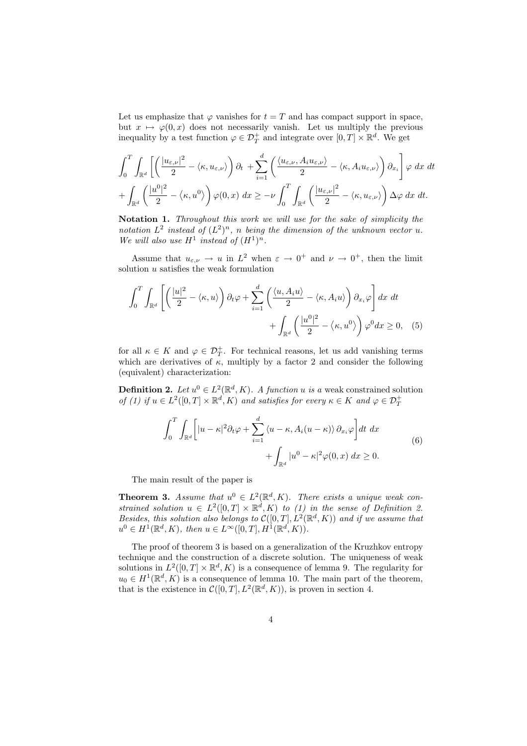Let us emphasize that  $\varphi$  vanishes for  $t = T$  and has compact support in space, but  $x \mapsto \varphi(0,x)$  does not necessarily vanish. Let us multiply the previous inequality by a test function  $\varphi \in \mathcal{D}_T^+$  and integrate over  $[0,T] \times \mathbb{R}^d$ . We get

$$
\int_0^T \int_{\mathbb{R}^d} \left[ \left( \frac{|u_{\varepsilon,\nu}|^2}{2} - \langle \kappa, u_{\varepsilon,\nu} \rangle \right) \partial_t + \sum_{i=1}^d \left( \frac{\langle u_{\varepsilon,\nu}, A_i u_{\varepsilon,\nu} \rangle}{2} - \langle \kappa, A_i u_{\varepsilon,\nu} \rangle \right) \partial_{x_i} \right] \varphi \ dx \ dt + \int_{\mathbb{R}^d} \left( \frac{|u^0|^2}{2} - \langle \kappa, u^0 \rangle \right) \varphi(0, x) \ dx \geq -\nu \int_0^T \int_{\mathbb{R}^d} \left( \frac{|u_{\varepsilon,\nu}|^2}{2} - \langle \kappa, u_{\varepsilon,\nu} \rangle \right) \Delta \varphi \ dx \ dt.
$$

Notation 1. *Throughout this work we will use for the sake of simplicity the* notation  $L^2$  instead of  $(L^2)^n$ , n being the dimension of the unknown vector u. We will also use  $H^1$  instead of  $(H^1)^n$ .

Assume that  $u_{\varepsilon,\nu} \to u$  in  $L^2$  when  $\varepsilon \to 0^+$  and  $\nu \to 0^+$ , then the limit solution  $u$  satisfies the weak formulation

$$
\int_0^T \int_{\mathbb{R}^d} \left[ \left( \frac{|u|^2}{2} - \langle \kappa, u \rangle \right) \partial_t \varphi + \sum_{i=1}^d \left( \frac{\langle u, A_i u \rangle}{2} - \langle \kappa, A_i u \rangle \right) \partial_{x_i} \varphi \right] dx dt
$$

$$
+ \int_{\mathbb{R}^d} \left( \frac{|u^0|^2}{2} - \langle \kappa, u^0 \rangle \right) \varphi^0 dx \ge 0, \quad (5)
$$

for all  $\kappa \in K$  and  $\varphi \in \mathcal{D}_T^+$ . For technical reasons, let us add vanishing terms which are derivatives of  $\kappa$ , multiply by a factor 2 and consider the following (equivalent) characterization:

**Definition 2.** Let  $u^0 \in L^2(\mathbb{R}^d, K)$ . A function u is a weak constrained solution *of* (1) if  $u \in L^2([0,T] \times \mathbb{R}^d, K)$  *and satisfies for every*  $\kappa \in K$  *and*  $\varphi \in \mathcal{D}_T^+$ 

$$
\int_0^T \int_{\mathbb{R}^d} \left[ |u - \kappa|^2 \partial_t \varphi + \sum_{i=1}^d \langle u - \kappa, A_i (u - \kappa) \rangle \partial_{x_i} \varphi \right] dt dx
$$
  
+ 
$$
\int_{\mathbb{R}^d} |u^0 - \kappa|^2 \varphi(0, x) dx \ge 0.
$$
 (6)

The main result of the paper is

**Theorem 3.** Assume that  $u^0 \in L^2(\mathbb{R}^d, K)$ . There exists a unique weak constrained solution  $u \in L^2([0,T] \times \mathbb{R}^d, K)$  *to (1) in the sense of Definition 2. Besides, this solution also belongs to*  $\mathcal{C}([0,T], L^2(\mathbb{R}^d, K))$  *and if we assume that*  $u^0 \in H^1(\mathbb{R}^d, K)$ , then  $u \in L^{\infty}([0, T], H^{\hat{1}}(\mathbb{R}^d, K))$ .

The proof of theorem 3 is based on a generalization of the Kruzhkov entropy technique and the construction of a discrete solution. The uniqueness of weak solutions in  $L^2([0,T] \times \mathbb{R}^d, K)$  is a consequence of lemma 9. The regularity for  $u_0 \in H^1(\mathbb{R}^d, K)$  is a consequence of lemma 10. The main part of the theorem, that is the existence in  $\mathcal{C}([0,T], L^2(\mathbb{R}^d, K))$ , is proven in section 4.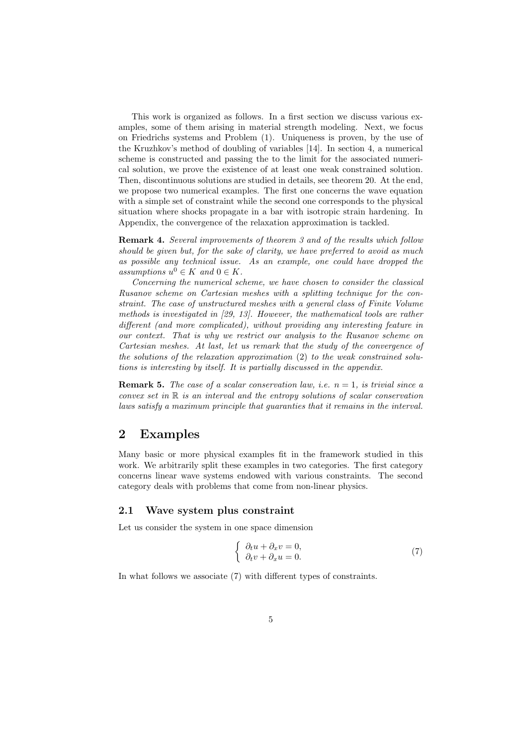This work is organized as follows. In a first section we discuss various examples, some of them arising in material strength modeling. Next, we focus on Friedrichs systems and Problem (1). Uniqueness is proven, by the use of the Kruzhkov's method of doubling of variables [14]. In section 4, a numerical scheme is constructed and passing the to the limit for the associated numerical solution, we prove the existence of at least one weak constrained solution. Then, discontinuous solutions are studied in details, see theorem 20. At the end, we propose two numerical examples. The first one concerns the wave equation with a simple set of constraint while the second one corresponds to the physical situation where shocks propagate in a bar with isotropic strain hardening. In Appendix, the convergence of the relaxation approximation is tackled.

Remark 4. *Several improvements of theorem 3 and of the results which follow should be given but, for the sake of clarity, we have preferred to avoid as much as possible any technical issue. As an example, one could have dropped the*  $$ 

*Concerning the numerical scheme, we have chosen to consider the classical Rusanov scheme on Cartesian meshes with a splitting technique for the constraint. The case of unstructured meshes with a general class of Finite Volume methods is investigated in [29, 13]. However, the mathematical tools are rather different (and more complicated), without providing any interesting feature in our context. That is why we restrict our analysis to the Rusanov scheme on Cartesian meshes. At last, let us remark that the study of the convergence of the solutions of the relaxation approximation* (2) *to the weak constrained solutions is interesting by itself. It is partially discussed in the appendix.*

**Remark 5.** The case of a scalar conservation law, i.e.  $n = 1$ , is trivial since a *convex set in* R *is an interval and the entropy solutions of scalar conservation laws satisfy a maximum principle that guaranties that it remains in the interval.*

### 2 Examples

Many basic or more physical examples fit in the framework studied in this work. We arbitrarily split these examples in two categories. The first category concerns linear wave systems endowed with various constraints. The second category deals with problems that come from non-linear physics.

### 2.1 Wave system plus constraint

Let us consider the system in one space dimension

$$
\begin{cases}\n\partial_t u + \partial_x v = 0, \\
\partial_t v + \partial_x u = 0.\n\end{cases}
$$
\n(7)

In what follows we associate (7) with different types of constraints.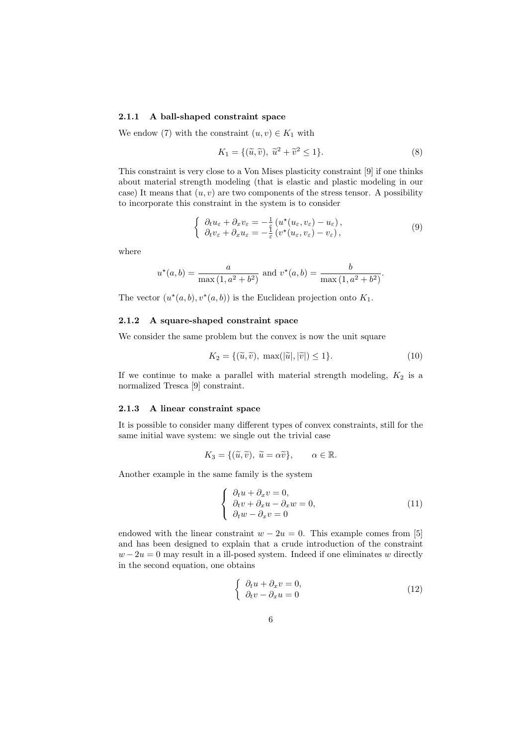#### 2.1.1 A ball-shaped constraint space

We endow (7) with the constraint  $(u, v) \in K_1$  with

$$
K_1 = \{ (\tilde{u}, \tilde{v}), \ \tilde{u}^2 + \tilde{v}^2 \le 1 \}. \tag{8}
$$

This constraint is very close to a Von Mises plasticity constraint [9] if one thinks about material strength modeling (that is elastic and plastic modeling in our case) It means that  $(u, v)$  are two components of the stress tensor. A possibility to incorporate this constraint in the system is to consider

$$
\begin{cases}\n\partial_t u_{\varepsilon} + \partial_x v_{\varepsilon} = -\frac{1}{\varepsilon} \left( u^*(u_{\varepsilon}, v_{\varepsilon}) - u_{\varepsilon} \right), \\
\partial_t v_{\varepsilon} + \partial_x u_{\varepsilon} = -\frac{1}{\varepsilon} \left( v^*(u_{\varepsilon}, v_{\varepsilon}) - v_{\varepsilon} \right),\n\end{cases} \tag{9}
$$

.

where

$$
u^*(a, b) = \frac{a}{\max(1, a^2 + b^2)}
$$
 and  $v^*(a, b) = \frac{b}{\max(1, a^2 + b^2)}$ 

The vector  $(u^*(a, b), v^*(a, b))$  is the Euclidean projection onto  $K_1$ .

#### 2.1.2 A square-shaped constraint space

We consider the same problem but the convex is now the unit square

$$
K_2 = \{(\tilde{u}, \tilde{v}), \ \max(|\tilde{u}|, |\tilde{v}|) \le 1\}.
$$
 (10)

If we continue to make a parallel with material strength modeling,  $K_2$  is a normalized Tresca [9] constraint.

#### 2.1.3 A linear constraint space

It is possible to consider many different types of convex constraints, still for the same initial wave system: we single out the trivial case

$$
K_3 = \{(\tilde{u}, \tilde{v}), \ \tilde{u} = \alpha \tilde{v}\}, \qquad \alpha \in \mathbb{R}.
$$

Another example in the same family is the system

$$
\begin{cases}\n\partial_t u + \partial_x v = 0, \\
\partial_t v + \partial_x u - \partial_x w = 0, \\
\partial_t w - \partial_x v = 0\n\end{cases}
$$
\n(11)

endowed with the linear constraint  $w - 2u = 0$ . This example comes from [5] and has been designed to explain that a crude introduction of the constraint  $w - 2u = 0$  may result in a ill-posed system. Indeed if one eliminates w directly in the second equation, one obtains

$$
\begin{cases}\n\partial_t u + \partial_x v = 0, \\
\partial_t v - \partial_x u = 0\n\end{cases}
$$
\n(12)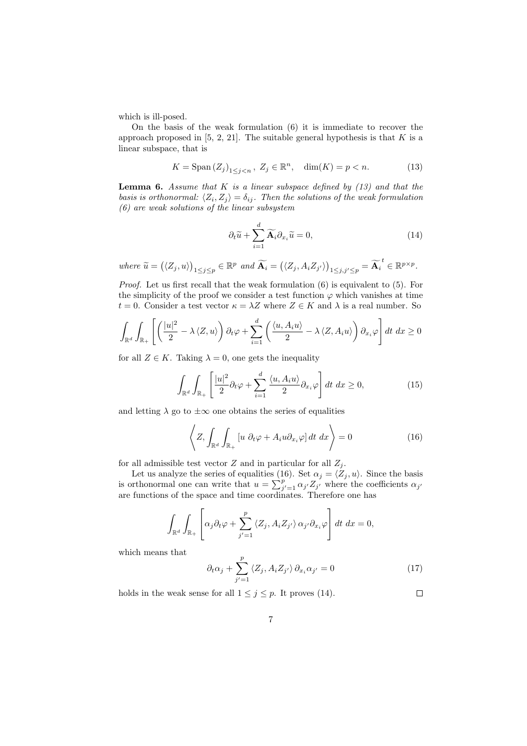which is ill-posed.

On the basis of the weak formulation (6) it is immediate to recover the approach proposed in  $[5, 2, 21]$ . The suitable general hypothesis is that K is a linear subspace, that is

$$
K = \text{Span}\left(Z_j\right)_{1 \le j < n}, \ Z_j \in \mathbb{R}^n, \quad \dim(K) = p < n. \tag{13}
$$

Lemma 6. *Assume that* K *is a linear subspace defined by (13) and that the basis is orthonormal:*  $\langle Z_i, Z_j \rangle = \delta_{ij}$ . Then the solutions of the weak formulation *(6) are weak solutions of the linear subsystem*

$$
\partial_t \widetilde{u} + \sum_{i=1}^d \widetilde{\mathbf{A}_i} \partial_{x_i} \widetilde{u} = 0, \tag{14}
$$

 $where \ \widetilde{u} = (\langle Z_j, u \rangle)_{1 \leq j \leq p} \in \mathbb{R}^p \ and \ \widetilde{A_i} = (\langle Z_j, A_i Z_{j'} \rangle)_{1 \leq j, j' \leq p} = \widetilde{A_i}^t \in \mathbb{R}^{p \times p}.$ 

*Proof.* Let us first recall that the weak formulation (6) is equivalent to (5). For the simplicity of the proof we consider a test function  $\varphi$  which vanishes at time  $t = 0$ . Consider a test vector  $\kappa = \lambda Z$  where  $Z \in K$  and  $\lambda$  is a real number. So

$$
\int_{\mathbb{R}^d} \int_{\mathbb{R}_+} \left[ \left( \frac{|u|^2}{2} - \lambda \langle Z, u \rangle \right) \partial_t \varphi + \sum_{i=1}^d \left( \frac{\langle u, A_i u \rangle}{2} - \lambda \langle Z, A_i u \rangle \right) \partial_{x_i} \varphi \right] dt \ dx \ge 0
$$

for all  $Z \in K$ . Taking  $\lambda = 0$ , one gets the inequality

$$
\int_{\mathbb{R}^d} \int_{\mathbb{R}_+} \left[ \frac{|u|^2}{2} \partial_t \varphi + \sum_{i=1}^d \frac{\langle u, A_i u \rangle}{2} \partial_{x_i} \varphi \right] dt \ dx \ge 0,
$$
\n(15)

and letting  $\lambda$  go to  $\pm\infty$  one obtains the series of equalities

$$
\left\langle Z, \int_{\mathbb{R}^d} \int_{\mathbb{R}_+} \left[ u \, \partial_t \varphi + A_i u \partial_{x_i} \varphi \right] dt \, dx \right\rangle = 0 \tag{16}
$$

for all admissible test vector  $Z$  and in particular for all  $Z_j$ .

Let us analyze the series of equalities (16). Set  $\alpha_j = \langle Z_j , u \rangle$ . Since the basis is orthonormal one can write that  $u = \sum_{j'=1}^p \alpha_{j'} Z_{j'}$  where the coefficients  $\alpha_{j'}$ are functions of the space and time coordinates. Therefore one has

$$
\int_{\mathbb{R}^d} \int_{\mathbb{R}_+} \left[ \alpha_j \partial_t \varphi + \sum_{j'=1}^p \langle Z_j, A_i Z_{j'} \rangle \, \alpha_{j'} \partial_{x_i} \varphi \right] dt \, dx = 0,
$$

which means that

$$
\partial_t \alpha_j + \sum_{j'=1}^p \langle Z_j, A_i Z_{j'} \rangle \partial_{x_i} \alpha_{j'} = 0 \tag{17}
$$

holds in the weak sense for all  $1 \leq j \leq p$ . It proves (14).

 $\Box$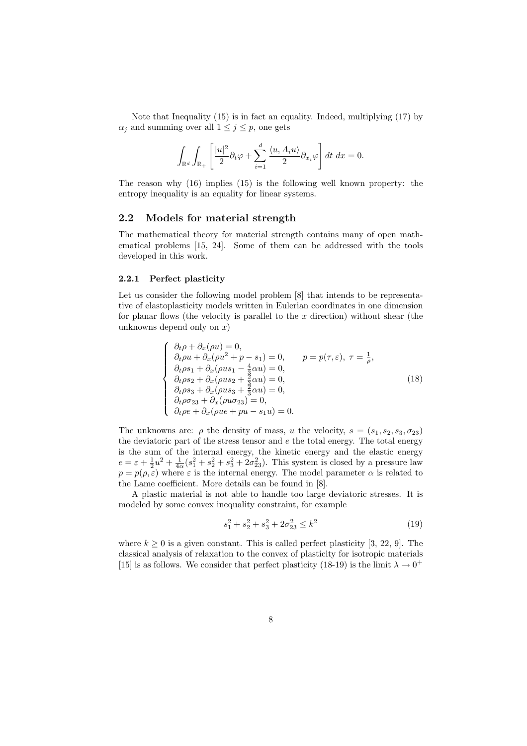Note that Inequality (15) is in fact an equality. Indeed, multiplying (17) by  $\alpha_j$  and summing over all  $1 \leq j \leq p$ , one gets

$$
\int_{\mathbb{R}^d} \int_{\mathbb{R}_+} \left[ \frac{|u|^2}{2} \partial_t \varphi + \sum_{i=1}^d \frac{\langle u, A_i u \rangle}{2} \partial_{x_i} \varphi \right] dt \ dx = 0.
$$

The reason why (16) implies (15) is the following well known property: the entropy inequality is an equality for linear systems.

#### 2.2 Models for material strength

The mathematical theory for material strength contains many of open mathematical problems [15, 24]. Some of them can be addressed with the tools developed in this work.

#### 2.2.1 Perfect plasticity

Let us consider the following model problem [8] that intends to be representative of elastoplasticity models written in Eulerian coordinates in one dimension for planar flows (the velocity is parallel to the  $x$  direction) without shear (the unknowns depend only on  $x$ )

$$
\begin{cases}\n\partial_t \rho + \partial_x (\rho u) = 0, \\
\partial_t \rho u + \partial_x (\rho u^2 + p - s_1) = 0, \\
\partial_t \rho s_1 + \partial_x (\rho u s_1 - \frac{4}{3} \alpha u) = 0, \\
\partial_t \rho s_2 + \partial_x (\rho u s_2 + \frac{2}{3} \alpha u) = 0, \\
\partial_t \rho s_3 + \partial_x (\rho u s_3 + \frac{3}{3} \alpha u) = 0, \\
\partial_t \rho \sigma_{23} + \partial_x (\rho u \sigma_{23}) = 0, \\
\partial_t \rho e + \partial_x (\rho u e + p u - s_1 u) = 0.\n\end{cases}
$$
\n(18)

The unknowns are:  $\rho$  the density of mass, u the velocity,  $s = (s_1, s_2, s_3, \sigma_{23})$ the deviatoric part of the stress tensor and  $e$  the total energy. The total energy is the sum of the internal energy, the kinetic energy and the elastic energy  $e = \varepsilon + \frac{1}{2}u^2 + \frac{1}{4\alpha}(s_1^2 + s_2^2 + s_3^2 + 2\sigma_{23}^2)$ . This system is closed by a pressure law  $p = p(\rho, \varepsilon)$  where  $\varepsilon$  is the internal energy. The model parameter  $\alpha$  is related to the Lame coefficient. More details can be found in [8].

A plastic material is not able to handle too large deviatoric stresses. It is modeled by some convex inequality constraint, for example

$$
s_1^2 + s_2^2 + s_3^2 + 2\sigma_{23}^2 \le k^2 \tag{19}
$$

where  $k \geq 0$  is a given constant. This is called perfect plasticity [3, 22, 9]. The classical analysis of relaxation to the convex of plasticity for isotropic materials [15] is as follows. We consider that perfect plasticity (18-19) is the limit  $\lambda \to 0^+$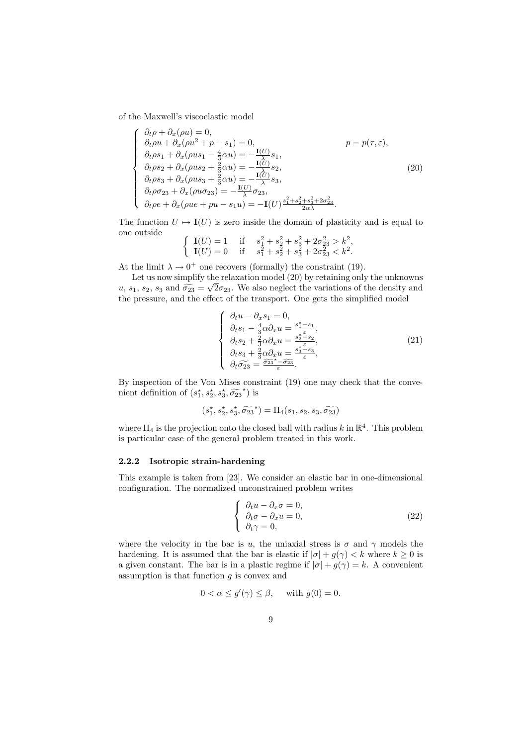of the Maxwell's viscoelastic model

 $\sim$   $\sim$ 

$$
\begin{cases}\n\partial_t \rho + \partial_x (\rho u) = 0, & p = p(\tau, \varepsilon), \\
\partial_t \rho u + \partial_x (\rho u^2 + p - s_1) = 0, & p = p(\tau, \varepsilon), \\
\partial_t \rho s_1 + \partial_x (\rho u s_1 - \frac{4}{3} \alpha u) = -\frac{\mathbf{I}(U)}{\mathbf{A}} s_1, \\
\partial_t \rho s_2 + \partial_x (\rho u s_2 + \frac{2}{3} \alpha u) = -\frac{\mathbf{I}(U)}{\mathbf{A}} s_2, \\
\partial_t \rho s_3 + \partial_x (\rho u s_3 + \frac{2}{3} \alpha u) = -\frac{\mathbf{I}(U)}{\mathbf{A}} s_3, \\
\partial_t \rho \sigma_{23} + \partial_x (\rho u \sigma_{23}) = -\frac{\mathbf{I}(U)}{\mathbf{A}} \sigma_{23}, \\
\partial_t \rho e + \partial_x (\rho u e + p u - s_1 u) = -\mathbf{I}(U) \frac{s_1^2 + s_2^2 + s_3^2 + 2 \sigma_{23}^2}{2 \alpha \lambda}.\n\end{cases} (20)
$$

The function  $U \mapsto I(U)$  is zero inside the domain of plasticity and is equal to one outside

$$
\begin{cases}\n\mathbf{I}(U) = 1 & \text{if } s_1^2 + s_2^2 + s_3^2 + 2\sigma_{23}^2 > k^2, \\
\mathbf{I}(U) = 0 & \text{if } s_1^2 + s_2^2 + s_3^2 + 2\sigma_{23}^2 < k^2.\n\end{cases}
$$

At the limit  $\lambda \to 0^+$  one recovers (formally) the constraint (19).

Let us now simplify the relaxation model (20) by retaining only the unknowns Let us now simplify the relationship model (20) by retaining only the diministrict<br>  $u, s_1, s_2, s_3$  and  $\widehat{\sigma}_{23} = \sqrt{2\sigma}_{23}$ . We also neglect the variations of the density and the pressure, and the effect of the transport. One gets the simplified model

$$
\begin{cases}\n\partial_t u - \partial_x s_1 = 0, \\
\partial_t s_1 - \frac{4}{3} \alpha \partial_x u = \frac{s_1^* - s_1}{s_2^*}, \\
\partial_t s_2 + \frac{2}{3} \alpha \partial_x u = \frac{s_2^* - s_2}{s_2^*}, \\
\partial_t s_3 + \frac{2}{3} \alpha \partial_x u = \frac{s_3^* - s_3}{s}, \\
\partial_t \widetilde{\sigma_{23}} = \frac{\widetilde{\sigma_{23}}^* - \widetilde{\sigma_{23}}}{\varepsilon}.\n\end{cases}
$$
\n(21)

By inspection of the Von Mises constraint (19) one may check that the convenient definition of  $(s_1^*, s_2^*, s_3^*, \widetilde{\sigma_{23}}^*)$  is

$$
(s_1^{\star}, s_2^{\star}, s_3^{\star}, \widetilde{\sigma_{23}}^{\star}) = \Pi_4(s_1, s_2, s_3, \widetilde{\sigma_{23}})
$$

where  $\Pi_4$  is the projection onto the closed ball with radius k in  $\mathbb{R}^4$ . This problem is particular case of the general problem treated in this work.

#### 2.2.2 Isotropic strain-hardening

This example is taken from [23]. We consider an elastic bar in one-dimensional configuration. The normalized unconstrained problem writes

$$
\begin{cases}\n\partial_t u - \partial_x \sigma = 0, \\
\partial_t \sigma - \partial_x u = 0, \\
\partial_t \gamma = 0,\n\end{cases}
$$
\n(22)

where the velocity in the bar is u, the uniaxial stress is  $\sigma$  and  $\gamma$  models the hardening. It is assumed that the bar is elastic if  $|\sigma| + g(\gamma) < k$  where  $k \geq 0$  is a given constant. The bar is in a plastic regime if  $|\sigma| + g(\gamma) = k$ . A convenient assumption is that function  $g$  is convex and

$$
0 < \alpha \le g'(\gamma) \le \beta, \quad \text{ with } g(0) = 0.
$$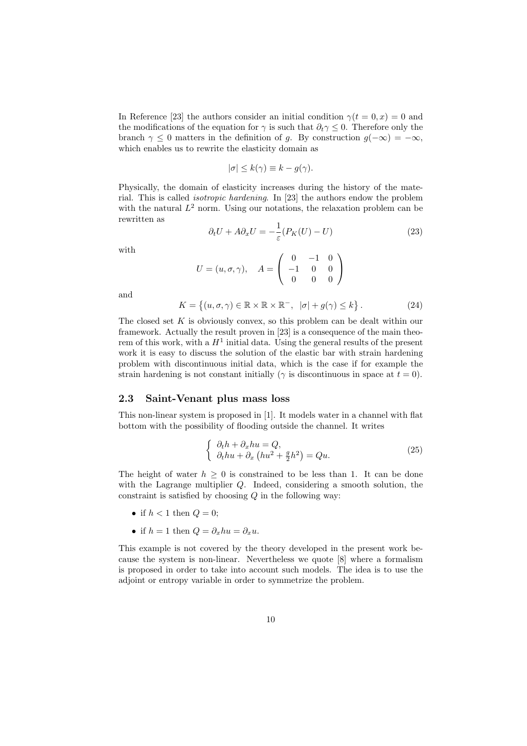In Reference [23] the authors consider an initial condition  $\gamma(t=0,x) = 0$  and the modifications of the equation for  $\gamma$  is such that  $\partial_t \gamma \leq 0$ . Therefore only the branch  $\gamma \leq 0$  matters in the definition of g. By construction  $g(-\infty) = -\infty$ , which enables us to rewrite the elasticity domain as

$$
|\sigma| \leq k(\gamma) \equiv k - g(\gamma).
$$

Physically, the domain of elasticity increases during the history of the material. This is called *isotropic hardening*. In [23] the authors endow the problem with the natural  $L^2$  norm. Using our notations, the relaxation problem can be rewritten as

$$
\partial_t U + A \partial_x U = -\frac{1}{\varepsilon} (P_K(U) - U) \tag{23}
$$

with

$$
U = (u, \sigma, \gamma), \quad A = \begin{pmatrix} 0 & -1 & 0 \\ -1 & 0 & 0 \\ 0 & 0 & 0 \end{pmatrix}
$$

and

$$
K = \left\{ (u, \sigma, \gamma) \in \mathbb{R} \times \mathbb{R} \times \mathbb{R}^-, \ |\sigma| + g(\gamma) \le k \right\}.
$$
 (24)

The closed set  $K$  is obviously convex, so this problem can be dealt within our framework. Actually the result proven in [23] is a consequence of the main theorem of this work, with a  $H^1$  initial data. Using the general results of the present work it is easy to discuss the solution of the elastic bar with strain hardening problem with discontinuous initial data, which is the case if for example the strain hardening is not constant initially ( $\gamma$  is discontinuous in space at  $t = 0$ ).

### 2.3 Saint-Venant plus mass loss

This non-linear system is proposed in [1]. It models water in a channel with flat bottom with the possibility of flooding outside the channel. It writes

$$
\begin{cases}\n\partial_t h + \partial_x h u = Q, \\
\partial_t h u + \partial_x \left( h u^2 + \frac{g}{2} h^2 \right) = Q u.\n\end{cases} \tag{25}
$$

The height of water  $h > 0$  is constrained to be less than 1. It can be done with the Lagrange multiplier  $Q$ . Indeed, considering a smooth solution, the constraint is satisfied by choosing  $Q$  in the following way:

- if  $h < 1$  then  $Q = 0$ ;
- if  $h = 1$  then  $Q = \partial_x hu = \partial_x u$ .

This example is not covered by the theory developed in the present work because the system is non-linear. Nevertheless we quote [8] where a formalism is proposed in order to take into account such models. The idea is to use the adjoint or entropy variable in order to symmetrize the problem.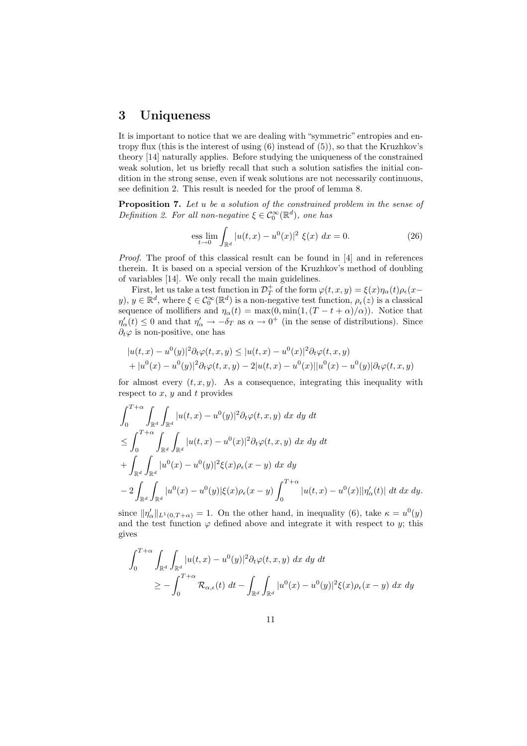### 3 Uniqueness

It is important to notice that we are dealing with "symmetric" entropies and entropy flux (this is the interest of using (6) instead of (5)), so that the Kruzhkov's theory [14] naturally applies. Before studying the uniqueness of the constrained weak solution, let us briefly recall that such a solution satisfies the initial condition in the strong sense, even if weak solutions are not necessarily continuous, see definition 2. This result is needed for the proof of lemma 8.

Proposition 7. *Let* u *be a solution of the constrained problem in the sense of Definition 2. For all non-negative*  $\xi \in C_0^{\infty}(\mathbb{R}^d)$ , one has

$$
\underset{t \to 0}{\text{ess lim}} \int_{\mathbb{R}^d} |u(t, x) - u^0(x)|^2 \xi(x) \, dx = 0. \tag{26}
$$

*Proof.* The proof of this classical result can be found in [4] and in references therein. It is based on a special version of the Kruzhkov's method of doubling of variables [14]. We only recall the main guidelines.

First, let us take a test function in  $\mathcal{D}_T^+$  of the form  $\varphi(t,x,y) = \xi(x)\eta_\alpha(t)\rho_\epsilon(x-y)$  $y), y \in \mathbb{R}^d$ , where  $\xi \in \mathcal{C}_0^{\infty}(\mathbb{R}^d)$  is a non-negative test function,  $\rho_{\epsilon}(z)$  is a classical sequence of mollifiers and  $\eta_{\alpha}(t) = \max(0, \min(1, (T - t + \alpha)/\alpha))$ . Notice that  $\eta'_{\alpha}(t) \leq 0$  and that  $\eta'_{\alpha} \to -\delta_T$  as  $\alpha \to 0^+$  (in the sense of distributions). Since  $\partial_t\varphi$  is non-positive, one has

$$
|u(t,x) - u^{0}(y)|^{2} \partial_{t} \varphi(t,x,y) \leq |u(t,x) - u^{0}(x)|^{2} \partial_{t} \varphi(t,x,y) + |u^{0}(x) - u^{0}(y)|^{2} \partial_{t} \varphi(t,x,y) - 2|u(t,x) - u^{0}(x)||u^{0}(x) - u^{0}(y)|\partial_{t} \varphi(t,x,y)
$$

for almost every  $(t, x, y)$ . As a consequence, integrating this inequality with respect to  $x, y$  and  $t$  provides

$$
\int_{0}^{T+\alpha} \int_{\mathbb{R}^{d}} \int_{\mathbb{R}^{d}} |u(t,x) - u^{0}(y)|^{2} \partial_{t} \varphi(t,x,y) \, dx \, dy \, dt \n\leq \int_{0}^{T+\alpha} \int_{\mathbb{R}^{d}} \int_{\mathbb{R}^{d}} |u(t,x) - u^{0}(x)|^{2} \partial_{t} \varphi(t,x,y) \, dx \, dy \, dt \n+ \int_{\mathbb{R}^{d}} \int_{\mathbb{R}^{d}} |u^{0}(x) - u^{0}(y)|^{2} \xi(x) \rho_{\epsilon}(x-y) \, dx \, dy \n- 2 \int_{\mathbb{R}^{d}} \int_{\mathbb{R}^{d}} |u^{0}(x) - u^{0}(y)| \xi(x) \rho_{\epsilon}(x-y) \int_{0}^{T+\alpha} |u(t,x) - u^{0}(x)| |\eta'_{\alpha}(t)| \, dt \, dx \, dy.
$$

since  $\|\eta_\alpha'\|_{L^1(0,T+\alpha)} = 1$ . On the other hand, in inequality (6), take  $\kappa = u^0(y)$ and the test function  $\varphi$  defined above and integrate it with respect to y; this gives

$$
\int_0^{T+\alpha} \int_{\mathbb{R}^d} \int_{\mathbb{R}^d} |u(t,x) - u^0(y)|^2 \partial_t \varphi(t,x,y) \, dx \, dy \, dt
$$
  
\n
$$
\geq - \int_0^{T+\alpha} \mathcal{R}_{\alpha,\epsilon}(t) \, dt - \int_{\mathbb{R}^d} \int_{\mathbb{R}^d} |u^0(x) - u^0(y)|^2 \xi(x) \rho_{\epsilon}(x-y) \, dx \, dy
$$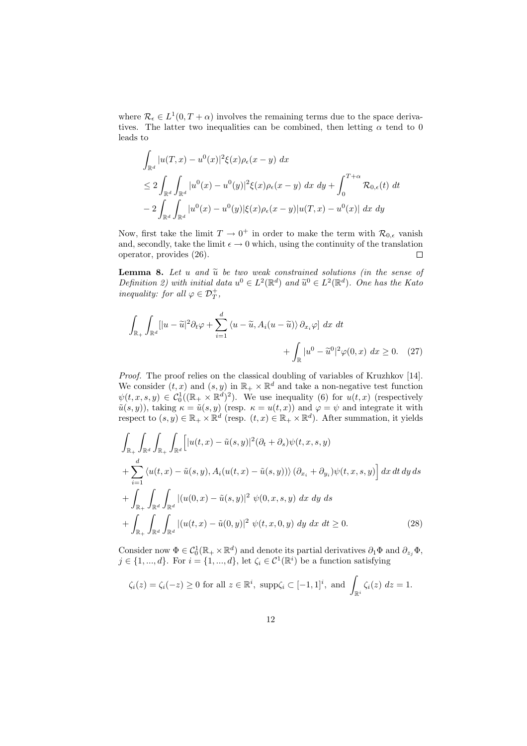where  $\mathcal{R}_{\epsilon} \in L^1(0, T + \alpha)$  involves the remaining terms due to the space derivatives. The latter two inequalities can be combined, then letting  $\alpha$  tend to 0 leads to

$$
\int_{\mathbb{R}^d} |u(T, x) - u^0(x)|^2 \xi(x) \rho_{\epsilon}(x - y) dx
$$
\n
$$
\leq 2 \int_{\mathbb{R}^d} \int_{\mathbb{R}^d} |u^0(x) - u^0(y)|^2 \xi(x) \rho_{\epsilon}(x - y) dx dy + \int_0^{T + \alpha} \mathcal{R}_{0, \epsilon}(t) dt
$$
\n
$$
- 2 \int_{\mathbb{R}^d} \int_{\mathbb{R}^d} |u^0(x) - u^0(y)| \xi(x) \rho_{\epsilon}(x - y) |u(T, x) - u^0(x)| dx dy
$$

Now, first take the limit  $T \to 0^+$  in order to make the term with  $\mathcal{R}_{0,\epsilon}$  vanish and, secondly, take the limit  $\epsilon \to 0$  which, using the continuity of the translation operator, provides (26). operator, provides (26).

**Lemma 8.** Let u and  $\tilde{u}$  be two weak constrained solutions (in the sense of *Definition 2)* with initial data  $u^0 \in L^2(\mathbb{R}^d)$  and  $\tilde{u}^0 \in L^2(\mathbb{R}^d)$ . One has the Kato *inequality: for all*  $\varphi \in \mathcal{D}_T^+$ ,

$$
\int_{\mathbb{R}_+} \int_{\mathbb{R}^d} [|u - \tilde{u}|^2 \partial_t \varphi + \sum_{i=1}^d \langle u - \tilde{u}, A_i (u - \tilde{u}) \rangle \partial_{x_i} \varphi] dx dt + \int_{\mathbb{R}} |u^0 - \tilde{u}^0|^2 \varphi(0, x) dx \ge 0.
$$
 (27)

*Proof.* The proof relies on the classical doubling of variables of Kruzhkov [14]. We consider  $(t, x)$  and  $(s, y)$  in  $\mathbb{R}_+ \times \mathbb{R}^d$  and take a non-negative test function  $\psi(t,x,s,y) \in C_0^1((\mathbb{R}_+ \times \mathbb{R}^d)^2)$ . We use inequality (6) for  $u(t,x)$  (respectively  $\tilde{u}(s,y)$ , taking  $\kappa = \tilde{u}(s,y)$  (resp.  $\kappa = u(t,x)$ ) and  $\varphi = \psi$  and integrate it with respect to  $(s, y) \in \mathbb{R}_+ \times \mathbb{R}^d$  (resp.  $(t, x) \in \mathbb{R}_+ \times \mathbb{R}^d$ ). After summation, it yields

$$
\int_{\mathbb{R}_{+}} \int_{\mathbb{R}^{d}} \int_{\mathbb{R}^{d}} \int_{\mathbb{R}^{d}} \left[ |u(t,x) - \tilde{u}(s,y)|^{2} (\partial_{t} + \partial_{s}) \psi(t,x,s,y) \right] + \sum_{i=1}^{d} \langle u(t,x) - \tilde{u}(s,y), A_{i}(u(t,x) - \tilde{u}(s,y)) \rangle (\partial_{x_{i}} + \partial_{y_{i}}) \psi(t,x,s,y) \right] dx dt dy ds
$$

$$
+ \int_{\mathbb{R}_{+}} \int_{\mathbb{R}^{d}} \int_{\mathbb{R}^{d}} |(u(0,x) - \tilde{u}(s,y)|^{2} \psi(0,x,s,y) dx dy ds
$$

$$
+ \int_{\mathbb{R}_{+}} \int_{\mathbb{R}^{d}} \int_{\mathbb{R}^{d}} |(u(t,x) - \tilde{u}(0,y)|^{2} \psi(t,x,0,y) dy dx dt \geq 0.
$$
 (28)

Consider now  $\Phi \in C_0^1(\mathbb{R}_+ \times \mathbb{R}^d)$  and denote its partial derivatives  $\partial_1 \Phi$  and  $\partial_{z_j} \Phi$ ,  $j \in \{1, ..., d\}$ . For  $i = \{1, ..., d\}$ , let  $\zeta_i \in \mathcal{C}^1(\mathbb{R}^i)$  be a function satisfying

$$
\zeta_i(z) = \zeta_i(-z) \ge 0 \text{ for all } z \in \mathbb{R}^i, \text{ supp}\zeta_i \subset [-1,1]^i, \text{ and } \int_{\mathbb{R}^i} \zeta_i(z) \, dz = 1.
$$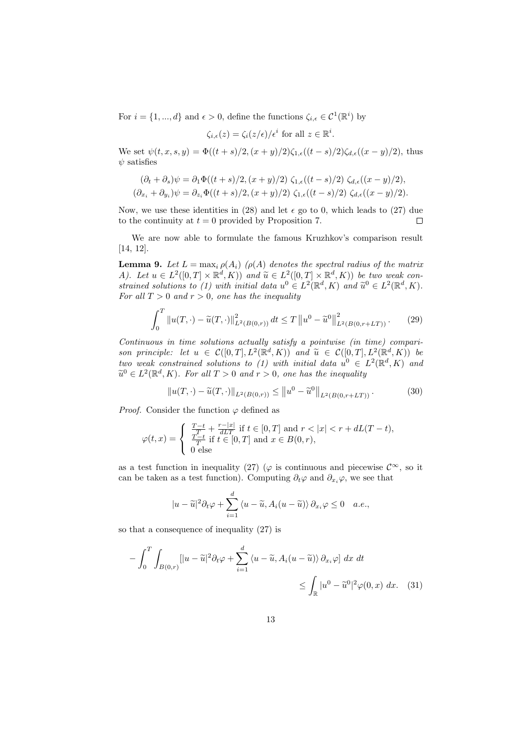For  $i = \{1, ..., d\}$  and  $\epsilon > 0$ , define the functions  $\zeta_{i,\epsilon} \in \mathcal{C}^1(\mathbb{R}^i)$  by

$$
\zeta_{i,\epsilon}(z) = \zeta_i(z/\epsilon)/\epsilon^i \text{ for all } z \in \mathbb{R}^i.
$$

We set  $\psi(t,x,s,y) = \Phi((t+s)/2, (x+y)/2)\zeta_{1,\epsilon}((t-s)/2)\zeta_{d,\epsilon}((x-y)/2)$ , thus  $\psi$  satisfies

$$
(\partial_t + \partial_s)\psi = \partial_1\Phi((t+s)/2, (x+y)/2) \zeta_{1,\epsilon}((t-s)/2) \zeta_{d,\epsilon}((x-y)/2),
$$
  

$$
(\partial_{x_i} + \partial_{y_i})\psi = \partial_{z_i}\Phi((t+s)/2, (x+y)/2) \zeta_{1,\epsilon}((t-s)/2) \zeta_{d,\epsilon}((x-y)/2).
$$

Now, we use these identities in (28) and let  $\epsilon$  go to 0, which leads to (27) due to the continuity at  $t = 0$  provided by Proposition 7.  $\Box$ 

We are now able to formulate the famous Kruzhkov's comparison result [14, 12].

**Lemma 9.** Let  $L = \max_i \rho(A_i)$  ( $\rho(A)$  denotes the spectral radius of the matrix A). Let  $u \in L^2([0,T] \times \mathbb{R}^d, K)$  and  $\widetilde{u} \in L^2([0,T] \times \mathbb{R}^d, K)$  be two weak con-<br>
twise developments (1) with initial data of  $\mathbb{Z}^2(\mathbb{R}^d, K)$  and  $\widetilde{z}^0 \in L^2(\mathbb{R}^d, K)$ *strained solutions to (1) with initial data*  $u^0 \in L^2(\mathbb{R}^d, K)$  *and*  $\tilde{u}^0 \in L^2(\mathbb{R}^d, K)$ . *For all*  $T > 0$  *and*  $r > 0$ *, one has the inequality* 

$$
\int_0^T \|u(T,\cdot) - \tilde{u}(T,\cdot)\|_{L^2(B(0,r))}^2 dt \le T \|u^0 - \tilde{u}^0\|_{L^2(B(0,r+LT))}^2. \tag{29}
$$

*Continuous in time solutions actually satisfy a pointwise (in time) comparison principle: let*  $u \in C([0,T], L^2(\mathbb{R}^d, K))$  *and*  $\widetilde{u} \in C([0,T], L^2(\mathbb{R}^d, K))$  *be*<br>the weak contributed solutions to (1) with initial data of  $C \in L^2(\mathbb{R}^d, K)$  and *two weak constrained solutions to (1) with initial data*  $u^0 \in L^2(\mathbb{R}^d, K)$  and  $\widetilde{u}^0 \in L^2(\mathbb{R}^d, K)$ . For all  $T > 0$  and  $r > 0$ , one has the inequality

$$
||u(T,\cdot) - \tilde{u}(T,\cdot)||_{L^2(B(0,r))} \le ||u^0 - \tilde{u}^0||_{L^2(B(0,r+LT))}.
$$
 (30)

*Proof.* Consider the function  $\varphi$  defined as

$$
\varphi(t,x)=\left\{\begin{array}{l}\frac{T-t}{T}+\frac{r-|x|}{dLT}\text{ if }t\in[0,T]\text{ and }r<|x|
$$

as a test function in inequality (27) ( $\varphi$  is continuous and piecewise  $\mathcal{C}^{\infty}$ , so it can be taken as a test function). Computing  $\partial_t \varphi$  and  $\partial_{x_i} \varphi$ , we see that

$$
|u-\widetilde{u}|^2\partial_t\varphi+\sum_{i=1}^d\langle u-\widetilde{u},A_i(u-\widetilde{u})\rangle\,\partial_{x_i}\varphi\leq 0\quad a.e.,
$$

so that a consequence of inequality (27) is

$$
-\int_0^T \int_{B(0,r)} [|u - \widetilde{u}|^2 \partial_t \varphi + \sum_{i=1}^d \langle u - \widetilde{u}, A_i(u - \widetilde{u}) \rangle \partial_{x_i} \varphi] dx dt
$$
  

$$
\leq \int_{\mathbb{R}} |u^0 - \widetilde{u}^0|^2 \varphi(0, x) dx. \quad (31)
$$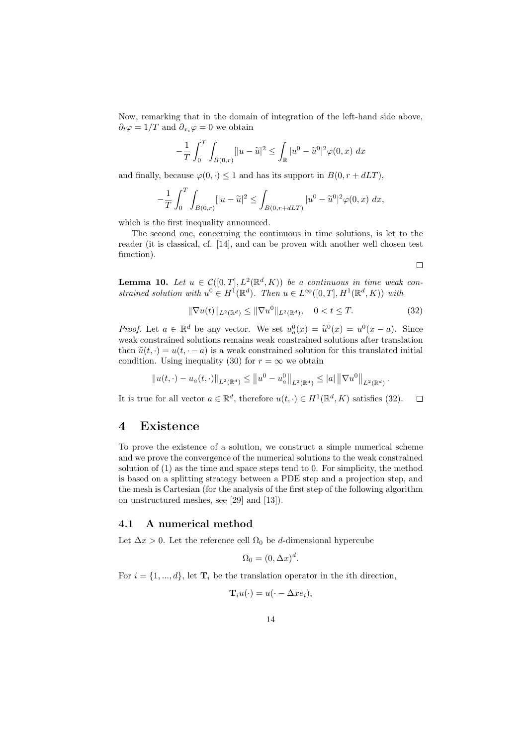Now, remarking that in the domain of integration of the left-hand side above,  $\partial_t \varphi = 1/T$  and  $\partial_{x_i} \varphi = 0$  we obtain

$$
-\frac{1}{T} \int_0^T \int_{B(0,r)} [|u - \widetilde{u}|^2 \le \int_{\mathbb{R}} |u^0 - \widetilde{u}^0|^2 \varphi(0, x) \, dx
$$

and finally, because  $\varphi(0, \cdot) \leq 1$  and has its support in  $B(0, r + dLT)$ ,

$$
-\frac{1}{T} \int_0^T \int_{B(0,r)} [ |u - \widetilde{u}|^2 \le \int_{B(0,r+dLT)} |u^0 - \widetilde{u}^0|^2 \varphi(0,x) \, dx,
$$

which is the first inequality announced.

The second one, concerning the continuous in time solutions, is let to the reader (it is classical, cf. [14], and can be proven with another well chosen test function).

 $\Box$ 

**Lemma 10.** Let  $u \in C([0,T], L^2(\mathbb{R}^d, K))$  be a continuous in time weak con*strained solution with*  $u^0 \in H^1(\mathbb{R}^d)$ *. Then*  $u \in L^\infty([0,T], H^1(\mathbb{R}^d, K))$  *with* 

$$
\|\nabla u(t)\|_{L^2(\mathbb{R}^d)} \le \|\nabla u^0\|_{L^2(\mathbb{R}^d)}, \quad 0 < t \le T. \tag{32}
$$

*Proof.* Let  $a \in \mathbb{R}^d$  be any vector. We set  $u^0_a(x) = \tilde{u}^0(x) = u^0(x-a)$ . Since weak constrained solutions remains weak constrained solutions after translation then  $\tilde{u}(t, \cdot) = u(t, \cdot - a)$  is a weak constrained solution for this translated initial condition. Using inequality (30) for  $r = \infty$  we obtain

$$
||u(t,\cdot)-u_a(t,\cdot)||_{L^2(\mathbb{R}^d)} \le ||u^0-u_a^0||_{L^2(\mathbb{R}^d)} \le |a| ||\nabla u^0||_{L^2(\mathbb{R}^d)}.
$$

It is true for all vector  $a \in \mathbb{R}^d$ , therefore  $u(t, \cdot) \in H^1(\mathbb{R}^d, K)$  satisfies (32).  $\Box$ 

### 4 Existence

To prove the existence of a solution, we construct a simple numerical scheme and we prove the convergence of the numerical solutions to the weak constrained solution of (1) as the time and space steps tend to 0. For simplicity, the method is based on a splitting strategy between a PDE step and a projection step, and the mesh is Cartesian (for the analysis of the first step of the following algorithm on unstructured meshes, see [29] and [13]).

### 4.1 A numerical method

Let  $\Delta x > 0$ . Let the reference cell  $\Omega_0$  be d-dimensional hypercube

$$
\Omega_0 = (0, \Delta x)^d.
$$

For  $i = \{1, ..., d\}$ , let  $\mathbf{T}_i$  be the translation operator in the *i*th direction,

$$
\mathbf{T}_{i}u(\cdot)=u(\cdot-\Delta xe_{i}),
$$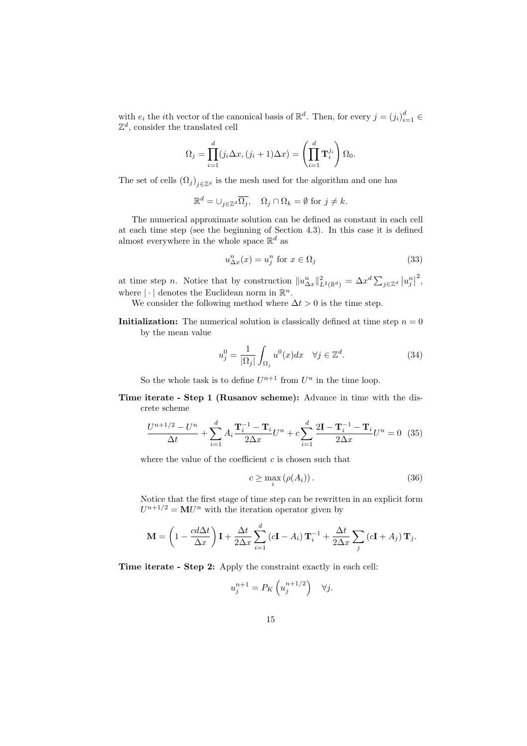with  $e_i$  the *i*th vector of the canonical basis of  $\mathbb{R}^d$ . Then, for every  $j = (j_i)_{i=1}^d \in$  $\mathbb{Z}^d$ , consider the translated cell

$$
\Omega_j = \prod_{i=1}^d (j_i \Delta x, (j_i + 1)\Delta x) = \left(\prod_{i=1}^d \mathbf{T}_i^{j_i}\right) \Omega_0.
$$

The set of cells  $(\Omega_j)_{j\in\mathbb{Z}^d}$  is the mesh used for the algorithm and one has

$$
\mathbb{R}^d = \cup_{j \in \mathbb{Z}^d} \overline{\Omega_j}, \quad \Omega_j \cap \Omega_k = \emptyset \text{ for } j \neq k.
$$

The numerical approximate solution can be defined as constant in each cell at each time step (see the beginning of Section 4.3). In this case it is defined almost everywhere in the whole space  $\mathbb{R}^d$  as

$$
u_{\Delta x}^n(x) = u_j^n \text{ for } x \in \Omega_j \tag{33}
$$

at time step *n*. Notice that by construction  $||u_{\Delta x}^n||_{L^2(\mathbb{R}^d)}^2 = \Delta x^d \sum_{j \in \mathbb{Z}^d} |u_j^n|^2$ , where  $|\cdot|$  denotes the Euclidean norm in  $\mathbb{R}^n$ .

We consider the following method where  $\Delta t > 0$  is the time step.

**Initialization:** The numerical solution is classically defined at time step  $n = 0$ by the mean value

$$
u_j^0 = \frac{1}{|\Omega_j|} \int_{\Omega_j} u^0(x) dx \quad \forall j \in \mathbb{Z}^d.
$$
 (34)

So the whole task is to define  $U^{n+1}$  from  $U^n$  in the time loop.

Time iterate - Step 1 (Rusanov scheme): Advance in time with the discrete scheme

$$
\frac{U^{n+1/2} - U^n}{\Delta t} + \sum_{i=1}^d A_i \frac{\mathbf{T}_i^{-1} - \mathbf{T}_i}{2\Delta x} U^n + c \sum_{i=1}^d \frac{2\mathbf{I} - \mathbf{T}_i^{-1} - \mathbf{T}_i}{2\Delta x} U^n = 0 \tag{35}
$$

where the value of the coefficient  $c$  is chosen such that

$$
c \ge \max_{i} (\rho(A_i)). \tag{36}
$$

Notice that the first stage of time step can be rewritten in an explicit form  $U^{n+1/2} = \mathbf{M}U^n$  with the iteration operator given by

$$
\mathbf{M} = \left(1 - \frac{cd\Delta t}{\Delta x}\right)\mathbf{I} + \frac{\Delta t}{2\Delta x}\sum_{i=1}^{d} \left(c\mathbf{I} - A_i\right)\mathbf{T}_i^{-1} + \frac{\Delta t}{2\Delta x}\sum_j \left(c\mathbf{I} + A_j\right)\mathbf{T}_j.
$$

Time iterate - Step 2: Apply the constraint exactly in each cell:

$$
u_j^{n+1} = P_K\left(u_j^{n+1/2}\right) \quad \forall j.
$$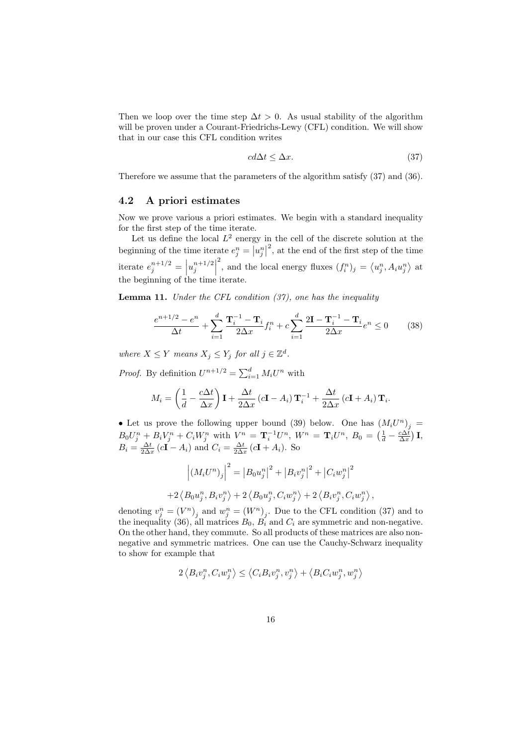Then we loop over the time step  $\Delta t > 0$ . As usual stability of the algorithm will be proven under a Courant-Friedrichs-Lewy (CFL) condition. We will show that in our case this CFL condition writes

$$
cd\Delta t \le \Delta x. \tag{37}
$$

Therefore we assume that the parameters of the algorithm satisfy (37) and (36).

### 4.2 A priori estimates

Now we prove various a priori estimates. We begin with a standard inequality for the first step of the time iterate.

Let us define the local  $L^2$  energy in the cell of the discrete solution at the beginning of the time iterate  $e_j^n = |u_j^n|^2$ , at the end of the first step of the time j iterate  $e_j^{n+1/2} = |u_j^{n+1/2}|$  <sup>2</sup>, and the local energy fluxes  $(f_i^n)_j = \langle u_j^n, A_i u_j^n \rangle$  at the beginning of the time iterate.

Lemma 11. *Under the CFL condition (37), one has the inequality*

$$
\frac{e^{n+1/2} - e^n}{\Delta t} + \sum_{i=1}^d \frac{\mathbf{T}_i^{-1} - \mathbf{T}_i}{2\Delta x} f_i^n + c \sum_{i=1}^d \frac{2\mathbf{I} - \mathbf{T}_i^{-1} - \mathbf{T}_i}{2\Delta x} e^n \le 0 \tag{38}
$$

*where*  $X \leq Y$  *means*  $X_j \leq Y_j$  *for all*  $j \in \mathbb{Z}^d$ *.* 

*Proof.* By definition  $U^{n+1/2} = \sum_{i=1}^{d} M_i U^n$  with

$$
M_i = \left(\frac{1}{d} - \frac{c\Delta t}{\Delta x}\right)\mathbf{I} + \frac{\Delta t}{2\Delta x}\left(c\mathbf{I} - A_i\right)\mathbf{T}_i^{-1} + \frac{\Delta t}{2\Delta x}\left(c\mathbf{I} + A_i\right)\mathbf{T}_i.
$$

• Let us prove the following upper bound (39) below. One has  $(M_iU^n)_j =$  $B_0U_j^n + B_iV_j^n + C_iW_j^n$  with  $V^n = \mathbf{T}_i^{-1}U^n$ ,  $W^n = \mathbf{T}_iU^n$ ,  $B_0 = \left(\frac{1}{d} - \frac{c\Delta t}{\Delta x}\right)\mathbf{I}$ ,  $B_i = \frac{\Delta t}{2\Delta x} (c\mathbf{I} - A_i)$  and  $C_i = \frac{\Delta t}{2\Delta x} (c\mathbf{I} + A_i)$ . So

$$
\left| \left( M_i U^n \right)_j \right|^2 = \left| B_0 u_j^n \right|^2 + \left| B_i v_j^n \right|^2 + \left| C_i w_j^n \right|^2
$$
  
+2\left\langle B\_0 u\_j^n, B\_i v\_j^n \right\rangle + 2\left\langle B\_0 u\_j^n, C\_i w\_j^n \right\rangle + 2\left\langle B\_i v\_j^n, C\_i w\_j^n \right\rangle,

denoting  $v_j^n = (V^n)_j$  and  $w_j^n = (W^n)_j$ . Due to the CFL condition (37) and to the inequality (36), all matrices  $B_0$ ,  $B_i$  and  $C_i$  are symmetric and non-negative. On the other hand, they commute. So all products of these matrices are also nonnegative and symmetric matrices. One can use the Cauchy-Schwarz inequality to show for example that

$$
2\left\langle B_{i}v_{j}^{n},C_{i}w_{j}^{n}\right\rangle \leq\left\langle C_{i}B_{i}v_{j}^{n},v_{j}^{n}\right\rangle +\left\langle B_{i}C_{i}w_{j}^{n},w_{j}^{n}\right\rangle
$$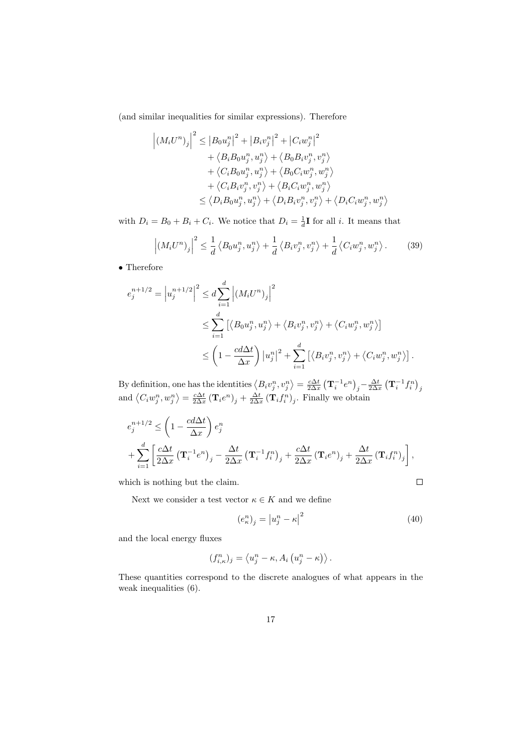(and similar inequalities for similar expressions). Therefore

$$
\left| \left( M_i U^n \right)_j \right|^2 \leq \left| B_0 u_j^n \right|^2 + \left| B_i v_j^n \right|^2 + \left| C_i w_j^n \right|^2
$$
  
+  $\left\langle B_i B_0 u_j^n, u_j^n \right\rangle + \left\langle B_0 B_i v_j^n, v_j^n \right\rangle$   
+  $\left\langle C_i B_0 u_j^n, u_j^n \right\rangle + \left\langle B_0 C_i w_j^n, w_j^n \right\rangle$   
+  $\left\langle C_i B_i v_j^n, v_j^n \right\rangle + \left\langle B_i C_i w_j^n, w_j^n \right\rangle$   
 $\leq \left\langle D_i B_0 u_j^n, u_j^n \right\rangle + \left\langle D_i B_i v_j^n, v_j^n \right\rangle + \left\langle D_i C_i w_j^n, w_j^n \right\rangle$ 

with  $D_i = B_0 + B_i + C_i$ . We notice that  $D_i = \frac{1}{d}$ **I** for all *i*. It means that

$$
\left| \left( M_i U^n \right)_j \right|^2 \leq \frac{1}{d} \left\langle B_0 u_j^n, u_j^n \right\rangle + \frac{1}{d} \left\langle B_i v_j^n, v_j^n \right\rangle + \frac{1}{d} \left\langle C_i w_j^n, w_j^n \right\rangle. \tag{39}
$$

• Therefore

$$
e_j^{n+1/2} = |u_j^{n+1/2}|^2 \le d \sum_{i=1}^d |(M_i U^n)_j|^2
$$
  

$$
\le \sum_{i=1}^d [ \langle B_0 u_j^n, u_j^n \rangle + \langle B_i v_j^n, v_j^n \rangle + \langle C_i w_j^n, w_j^n \rangle ]
$$
  

$$
\le \left(1 - \frac{c d \Delta t}{\Delta x}\right) |u_j^n|^2 + \sum_{i=1}^d [ \langle B_i v_j^n, v_j^n \rangle + \langle C_i w_j^n, w_j^n \rangle ].
$$

By definition, one has the identities  $\langle B_i v_j^n, v_j^n \rangle = \frac{c\Delta t}{2\Delta x} \left( \mathbf{T}_i^{-1} e^n \right)_j - \frac{\Delta t}{2\Delta x} \left( \mathbf{T}_i^{-1} f_i^n \right)_j$ <br>and  $\langle C_i w_j^n, w_j^n \rangle = \frac{c\Delta t}{2\Delta x} \left( \mathbf{T}_i e^n \right)_j + \frac{\Delta t}{2\Delta x} \left( \mathbf{T}_i f_i^n \right)_j$ . Finally we obtain

$$
e_j^{n+1/2} \le \left(1 - \frac{cd\Delta t}{\Delta x}\right) e_j^n
$$
  
+ 
$$
\sum_{i=1}^d \left[\frac{c\Delta t}{2\Delta x} \left(\mathbf{T}_i^{-1} e^n\right)_j - \frac{\Delta t}{2\Delta x} \left(\mathbf{T}_i^{-1} f_i^n\right)_j + \frac{c\Delta t}{2\Delta x} \left(\mathbf{T}_i e^n\right)_j + \frac{\Delta t}{2\Delta x} \left(\mathbf{T}_i f_i^n\right)_j\right],
$$

which is nothing but the claim.

Next we consider a test vector  $\kappa \in K$  and we define

$$
(e_{\kappa}^{n})_{j} = |u_{j}^{n} - \kappa|^{2}
$$
\n(40)

 $\Box$ 

and the local energy fluxes

$$
(f_{i,\kappa}^n)_j = \langle u_j^n - \kappa, A_i \left( u_j^n - \kappa \right) \rangle.
$$

These quantities correspond to the discrete analogues of what appears in the weak inequalities (6).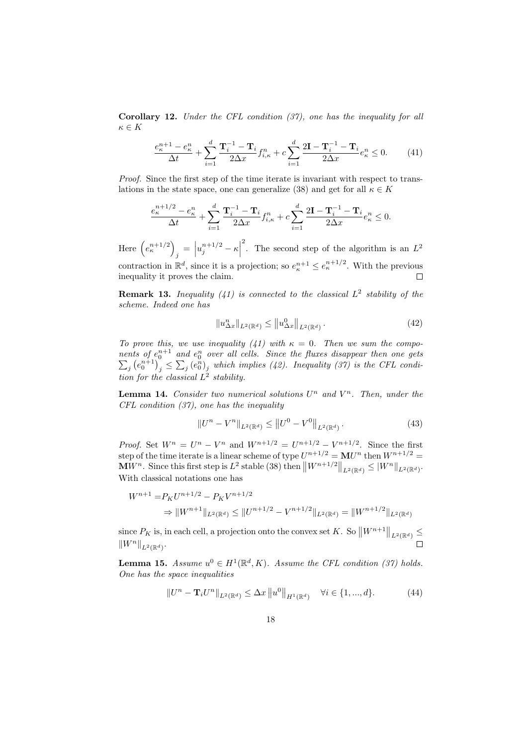Corollary 12. *Under the CFL condition (37), one has the inequality for all*  $\kappa \in K$ 

$$
\frac{e_{\kappa}^{n+1} - e_{\kappa}^n}{\Delta t} + \sum_{i=1}^d \frac{\mathbf{T}_i^{-1} - \mathbf{T}_i}{2\Delta x} f_{i,\kappa}^n + c \sum_{i=1}^d \frac{2\mathbf{I} - \mathbf{T}_i^{-1} - \mathbf{T}_i}{2\Delta x} e_{\kappa}^n \le 0. \tag{41}
$$

*Proof.* Since the first step of the time iterate is invariant with respect to translations in the state space, one can generalize (38) and get for all  $\kappa \in K$ 

$$
\frac{e_{\kappa}^{n+1/2} - e_{\kappa}^n}{\Delta t} + \sum_{i=1}^d \frac{\mathbf{T}_i^{-1} - \mathbf{T}_i}{2\Delta x} f_{i,\kappa}^n + c \sum_{i=1}^d \frac{2\mathbf{I} - \mathbf{T}_i^{-1} - \mathbf{T}_i}{2\Delta x} e_{\kappa}^n \le 0.
$$

 $\begin{aligned} \mathbf{y}_j = \left| u_j^{n+1/2} - \kappa \right| \end{aligned}$ <sup>2</sup>. The second step of the algorithm is an  $L^2$ Here  $(e_{\kappa}^{n+1/2})$ contraction in  $\mathbb{R}^d$ , since it is a projection; so  $e^{n+1}_\kappa \leq e^{n+1/2}_\kappa$ . With the previous inequality it proves the claim.  $\Box$ 

Remark 13. *Inequality (41) is connected to the classical* L 2 *stability of the scheme. Indeed one has*

$$
||u_{\Delta x}^{n}||_{L^{2}(\mathbb{R}^{d})} \le ||u_{\Delta x}^{0}||_{L^{2}(\mathbb{R}^{d})}.
$$
\n(42)

*To prove this, we use inequality (41) with*  $\kappa = 0$ . Then we sum the compo*nents* of  $e_0^{n+1}$  and  $e_0^n$  $\sum$ <sup>0</sup> *over all cells. Since the fluxes disappear then one gets*  $\left\{ \left( e_{0}^{n+1}\right) _{j}^{\circ}\leq\sum_{j}\left( e_{0}^{n}\right) _{j}\right.$  which implies (42). Inequality (37) is the CFL condi*tion for the classical* L 2 *stability.*

**Lemma 14.** Consider two numerical solutions  $U^n$  and  $V^n$ . Then, under the *CFL condition (37), one has the inequality*

$$
||U^{n} - V^{n}||_{L^{2}(\mathbb{R}^{d})} \le ||U^{0} - V^{0}||_{L^{2}(\mathbb{R}^{d})}. \tag{43}
$$

*Proof.* Set  $W^n = U^n - V^n$  and  $W^{n+1/2} = U^{n+1/2} - V^{n+1/2}$ . Since the first step of the time iterate is a linear scheme of type  $U^{n+1/2} = \mathbf{M} U^n$  then  $W^{n+1/2} =$  $\mathbf{M} \hat{W}^n$ . Since this first step is  $L^2$  stable (38) then  $\big\| W^{n+1/2} \big\|_{L^2(\mathbb{R}^d)} \leq |W^n|_{L^2(\mathbb{R}^d)}$ . With classical notations one has

$$
W^{n+1} = P_K U^{n+1/2} - P_K V^{n+1/2}
$$
  
\n
$$
\Rightarrow \|W^{n+1}\|_{L^2(\mathbb{R}^d)} \le \|U^{n+1/2} - V^{n+1/2}\|_{L^2(\mathbb{R}^d)} = \|W^{n+1/2}\|_{L^2(\mathbb{R}^d)}
$$

since  $P_K$  is, in each cell, a projection onto the convex set K. So  $||W^{n+1}||_{L^2(\mathbb{R}^d)} \le$  $||W^n||_{L^2(\mathbb{R}^d)}$ .

**Lemma 15.** Assume  $u^0 \in H^1(\mathbb{R}^d, K)$ . Assume the CFL condition (37) holds. *One has the space inequalities*

$$
||U^{n} - \mathbf{T}_{i}U^{n}||_{L^{2}(\mathbb{R}^{d})} \leq \Delta x ||u^{0}||_{H^{1}(\mathbb{R}^{d})} \quad \forall i \in \{1, ..., d\}.
$$
 (44)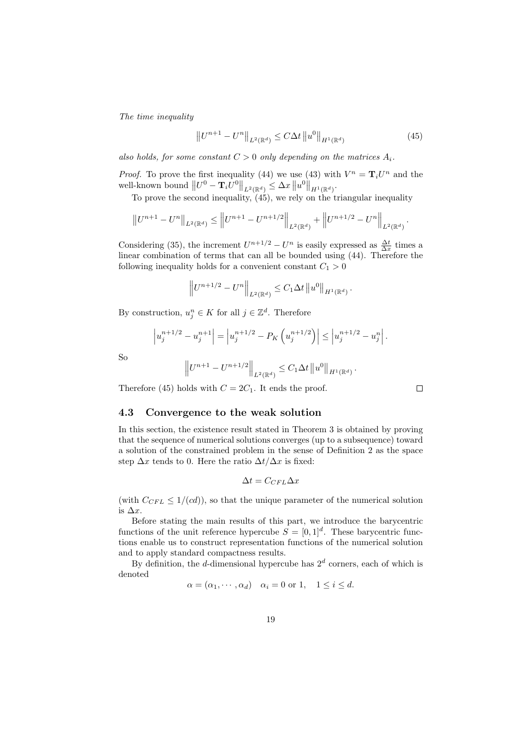*The time inequality*

$$
||U^{n+1} - U^n||_{L^2(\mathbb{R}^d)} \le C\Delta t ||u^0||_{H^1(\mathbb{R}^d)}
$$
\n(45)

*also holds, for some constant*  $C > 0$  *only depending on the matrices*  $A_i$ .

*Proof.* To prove the first inequality (44) we use (43) with  $V^n = \mathbf{T}_i U^n$  and the well-known bound  $||U^0 - \mathbf{T}_i U^0||_{L^2(\mathbb{R}^d)} \leq \Delta x ||u^0||_{H^1(\mathbb{R}^d)}$ .

To prove the second inequality,  $(45)$ , we rely on the triangular inequality

$$
||U^{n+1} - U^n||_{L^2(\mathbb{R}^d)} \le ||U^{n+1} - U^{n+1/2}||_{L^2(\mathbb{R}^d)} + ||U^{n+1/2} - U^n||_{L^2(\mathbb{R}^d)}.
$$

Considering (35), the increment  $U^{n+1/2} - U^n$  is easily expressed as  $\frac{\Delta t}{\Delta x}$  times a linear combination of terms that can all be bounded using (44). Therefore the following inequality holds for a convenient constant  $C_1 > 0$ 

$$
\left\|U^{n+1/2}-U^n\right\|_{L^2(\mathbb{R}^d)}\leq C_1\Delta t\left\|u^0\right\|_{H^1(\mathbb{R}^d)}.
$$

By construction,  $u_j^n \in K$  for all  $j \in \mathbb{Z}^d$ . Therefore

$$
u_j^{n+1/2} - u_j^{n+1} \Big| = \Big| u_j^{n+1/2} - P_K \left( u_j^{n+1/2} \right) \Big| \le \Big| u_j^{n+1/2} - u_j^{n} \Big|.
$$

So

 $\overline{\phantom{a}}$  $\overline{\phantom{a}}$  $\overline{\phantom{a}}$ 

$$
\left\|U^{n+1} - U^{n+1/2}\right\|_{L^2(\mathbb{R}^d)} \leq C_1 \Delta t \left\|u^0\right\|_{H^1(\mathbb{R}^d)}.
$$

Therefore (45) holds with  $C = 2C_1$ . It ends the proof.

#### 4.3 Convergence to the weak solution

In this section, the existence result stated in Theorem 3 is obtained by proving that the sequence of numerical solutions converges (up to a subsequence) toward a solution of the constrained problem in the sense of Definition 2 as the space step  $\Delta x$  tends to 0. Here the ratio  $\Delta t/\Delta x$  is fixed:

$$
\Delta t = C_{CFL} \Delta x
$$

(with  $C_{CFL} \leq 1/(cd)$ ), so that the unique parameter of the numerical solution is  $\Delta x$ .

Before stating the main results of this part, we introduce the barycentric functions of the unit reference hypercube  $S = [0, 1]^d$ . These barycentric functions enable us to construct representation functions of the numerical solution and to apply standard compactness results.

By definition, the *d*-dimensional hypercube has  $2<sup>d</sup>$  corners, each of which is denoted

$$
\alpha = (\alpha_1, \cdots, \alpha_d) \quad \alpha_i = 0 \text{ or } 1, \quad 1 \le i \le d.
$$

 $\Box$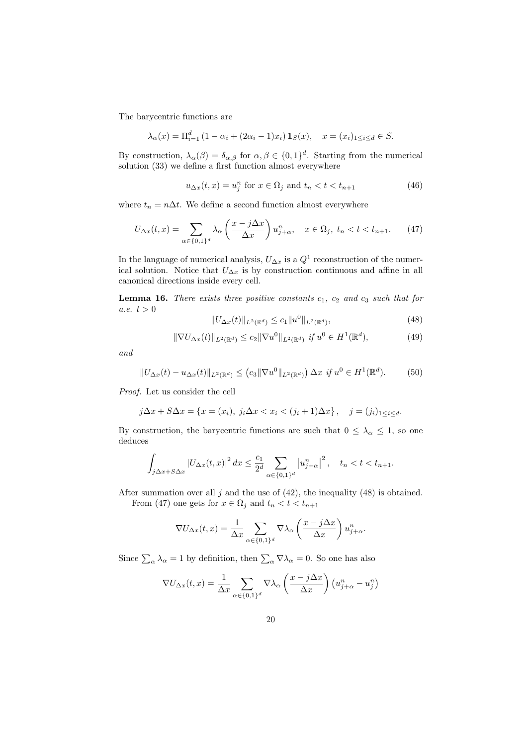The barycentric functions are

$$
\lambda_{\alpha}(x) = \Pi_{i=1}^{d} (1 - \alpha_i + (2\alpha_i - 1)x_i) \mathbf{1}_{S}(x), \quad x = (x_i)_{1 \le i \le d} \in S.
$$

By construction,  $\lambda_{\alpha}(\beta) = \delta_{\alpha,\beta}$  for  $\alpha, \beta \in \{0,1\}^d$ . Starting from the numerical solution (33) we define a first function almost everywhere

$$
u_{\Delta x}(t,x) = u_j^n \text{ for } x \in \Omega_j \text{ and } t_n < t < t_{n+1}
$$
 (46)

where  $t_n = n\Delta t$ . We define a second function almost everywhere

$$
U_{\Delta x}(t,x) = \sum_{\alpha \in \{0,1\}^d} \lambda_\alpha \left(\frac{x - j\Delta x}{\Delta x}\right) u_{j+\alpha}^n, \quad x \in \Omega_j, \ t_n < t < t_{n+1}.\tag{47}
$$

In the language of numerical analysis,  $U_{\Delta x}$  is a  $Q^1$  reconstruction of the numerical solution. Notice that  $U_{\Delta x}$  is by construction continuous and affine in all canonical directions inside every cell.

**Lemma 16.** *There exists three positive constants*  $c_1$ ,  $c_2$  *and*  $c_3$  *such that for a.e.*  $t > 0$ 

$$
||U_{\Delta x}(t)||_{L^{2}(\mathbb{R}^{d})} \leq c_{1}||u^{0}||_{L^{2}(\mathbb{R}^{d})}, \qquad (48)
$$

$$
\|\nabla U_{\Delta x}(t)\|_{L^2(\mathbb{R}^d)} \le c_2 \|\nabla u^0\|_{L^2(\mathbb{R}^d)} \ \text{if} \ u^0 \in H^1(\mathbb{R}^d),\tag{49}
$$

*and*

$$
||U_{\Delta x}(t) - u_{\Delta x}(t)||_{L^{2}(\mathbb{R}^{d})} \le (c_{3} ||\nabla u^{0}||_{L^{2}(\mathbb{R}^{d})}) \Delta x \text{ if } u^{0} \in H^{1}(\mathbb{R}^{d}).
$$
 (50)

*Proof.* Let us consider the cell

$$
j\Delta x + S\Delta x = \{x = (x_i), j_i\Delta x < x_i < (j_i + 1)\Delta x\}, \quad j = (j_i)_{1 \leq i \leq d}.
$$

By construction, the barycentric functions are such that  $0 \leq \lambda_{\alpha} \leq 1$ , so one deduces

$$
\int_{j\Delta x+S\Delta x} |U_{\Delta x}(t,x)|^2 dx \le \frac{c_1}{2^d} \sum_{\alpha \in \{0,1\}^d} |u_{j+\alpha}^n|^2, \quad t_n < t < t_{n+1}.
$$

After summation over all  $j$  and the use of  $(42)$ , the inequality  $(48)$  is obtained.

From (47) one gets for  $x \in \Omega_j$  and  $t_n < t < t_{n+1}$ 

$$
\nabla U_{\Delta x}(t,x) = \frac{1}{\Delta x} \sum_{\alpha \in \{0,1\}^d} \nabla \lambda_\alpha \left( \frac{x - j \Delta x}{\Delta x} \right) u_{j+\alpha}^n.
$$

Since  $\sum_{\alpha} \lambda_{\alpha} = 1$  by definition, then  $\sum_{\alpha} \nabla \lambda_{\alpha} = 0$ . So one has also

$$
\nabla U_{\Delta x}(t,x) = \frac{1}{\Delta x} \sum_{\alpha \in \{0,1\}^d} \nabla \lambda_{\alpha} \left( \frac{x - j\Delta x}{\Delta x} \right) \left( u_{j+\alpha}^n - u_j^n \right)
$$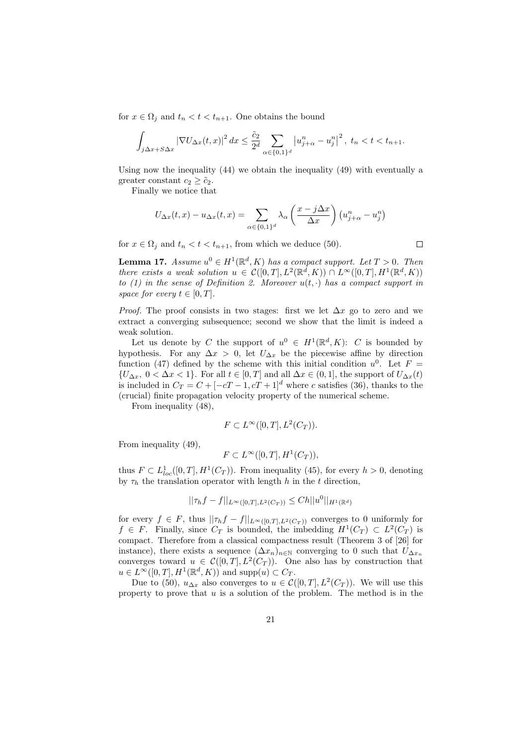for  $x \in \Omega_i$  and  $t_n < t < t_{n+1}$ . One obtains the bound

$$
\int_{j\Delta x+S\Delta x} \left|\nabla U_{\Delta x}(t,x)\right|^2 dx \le \frac{\tilde{c}_2}{2^d} \sum_{\alpha\in\{0,1\}^d} \left|u_{j+\alpha}^n - u_j^n\right|^2, \ t_n < t < t_{n+1}.
$$

Using now the inequality (44) we obtain the inequality (49) with eventually a greater constant  $c_2 \geq \tilde{c}_2$ .

Finally we notice that

$$
U_{\Delta x}(t,x) - u_{\Delta x}(t,x) = \sum_{\alpha \in \{0,1\}^d} \lambda_{\alpha} \left(\frac{x - j\Delta x}{\Delta x}\right) \left(u_{j+\alpha}^n - u_j^n\right)
$$

for  $x \in \Omega_i$  and  $t_n < t < t_{n+1}$ , from which we deduce (50).

 $\Box$ 

**Lemma 17.** *Assume*  $u^0 \in H^1(\mathbb{R}^d, K)$  *has a compact support. Let*  $T > 0$ *. Then there exists a weak solution*  $u \in C([0,T], L^2(\mathbb{R}^d, K)) \cap L^{\infty}([0,T], H^1(\mathbb{R}^d, K))$ *to (1) in the sense of Definition 2. Moreover*  $u(t, \cdot)$  *has a compact support in space for every*  $t \in [0, T]$ *.* 

*Proof.* The proof consists in two stages: first we let  $\Delta x$  go to zero and we extract a converging subsequence; second we show that the limit is indeed a weak solution.

Let us denote by C the support of  $u^0 \in H^1(\mathbb{R}^d, K)$ : C is bounded by hypothesis. For any  $\Delta x > 0$ , let  $U_{\Delta x}$  be the piecewise affine by direction function (47) defined by the scheme with this initial condition  $u^0$ . Let  $F =$  $\{U_{\Delta x}, 0 < \Delta x < 1\}$ . For all  $t \in [0, T]$  and all  $\Delta x \in (0, 1]$ , the support of  $U_{\Delta x}(t)$ is included in  $C_T = C + [-cT - 1, cT + 1]^d$  where c satisfies (36), thanks to the (crucial) finite propagation velocity property of the numerical scheme.

From inequality (48),

$$
F \subset L^{\infty}([0,T], L^2(C_T)).
$$

From inequality (49),

$$
F \subset L^{\infty}([0,T], H^1(C_T)),
$$

thus  $F \subset L^1_{loc}([0,T], H^1(C_T))$ . From inequality (45), for every  $h > 0$ , denoting by  $\tau_h$  the translation operator with length h in the t direction,

$$
||\tau_h f - f||_{L^{\infty}([0,T],L^2(C_T))} \leq C h ||u^0||_{H^1(\mathbb{R}^d)}
$$

for every  $f \in F$ , thus  $||\tau_h f - f||_{L^{\infty}([0,T],L^2(C_T))}$  converges to 0 uniformly for  $f \in F$ . Finally, since  $C_T$  is bounded, the imbedding  $H^1(C_T) \subset L^2(C_T)$  is compact. Therefore from a classical compactness result (Theorem 3 of [26] for instance), there exists a sequence  $(\Delta x_n)_{n\in\mathbb{N}}$  converging to 0 such that  $U_{\Delta x_n}$ converges toward  $u \in \mathcal{C}([0,T], L^2(C_T))$ . One also has by construction that  $u \in L^{\infty}([0,T], H^1(\mathbb{R}^d, K))$  and supp $(u) \subset C_T$ .

Due to (50),  $u_{\Delta x}$  also converges to  $u \in \mathcal{C}([0,T], L^2(C_T))$ . We will use this property to prove that  $u$  is a solution of the problem. The method is in the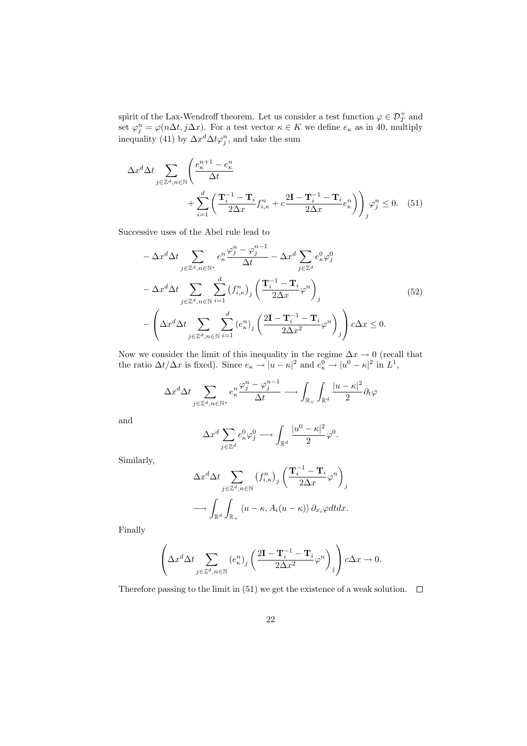spirit of the Lax-Wendroff theorem. Let us consider a test function  $\varphi \in \mathcal{D}_T^+$  and set  $\varphi_j^n = \varphi(n\Delta t, j\Delta x)$ . For a test vector  $\kappa \in K$  we define  $e_{\kappa}$  as in 40, multiply inequality (41) by  $\Delta x^d \Delta t \varphi_j^n$ , and take the sum

$$
\Delta x^{d} \Delta t \sum_{j \in \mathbb{Z}^{d}, n \in \mathbb{N}} \left( \frac{e_{\kappa}^{n+1} - e_{\kappa}^{n}}{\Delta t} + \sum_{i=1}^{d} \left( \frac{\mathbf{T}_{i}^{-1} - \mathbf{T}_{i}}{2\Delta x} f_{i,\kappa}^{n} + c \frac{2\mathbf{I} - \mathbf{T}_{i}^{-1} - \mathbf{T}_{i}}{2\Delta x} e_{\kappa}^{n} \right) \right)_{j} \varphi_{j}^{n} \le 0. \quad (51)
$$

Successive uses of the Abel rule lead to

$$
-\Delta x^{d} \Delta t \sum_{j \in \mathbb{Z}^{d}, n \in \mathbb{N}^{*}} e_{\kappa}^{n} \frac{\varphi_{j}^{n} - \varphi_{j}^{n-1}}{\Delta t} - \Delta x^{d} \sum_{j \in \mathbb{Z}^{d}} e_{\kappa}^{0} \varphi_{j}^{0}
$$

$$
-\Delta x^{d} \Delta t \sum_{j \in \mathbb{Z}^{d}, n \in \mathbb{N}} \sum_{i=1}^{d} (f_{i,\kappa}^{n})_{j} \left( \frac{\mathbf{T}_{i}^{-1} - \mathbf{T}_{i}}{2\Delta x} \varphi^{n} \right)_{j}
$$

$$
-\left( \Delta x^{d} \Delta t \sum_{j \in \mathbb{Z}^{d}, n \in \mathbb{N}} \sum_{i=1}^{d} (e_{\kappa}^{n})_{j} \left( \frac{2\mathbf{I} - \mathbf{T}_{i}^{-1} - \mathbf{T}_{i}}{2\Delta x^{2}} \varphi^{n} \right)_{j} \right) c \Delta x \leq 0.
$$

$$
(52)
$$

Now we consider the limit of this inequality in the regime  $\Delta x \to 0$  (recall that the ratio  $\Delta t/\Delta x$  is fixed). Since  $e_{\kappa} \to |u - \kappa|^2$  and  $e_{\kappa}^0 \to |u^0 - \kappa|^2$  in  $L^1$ ,

$$
\Delta x^d \Delta t \sum_{j \in \mathbb{Z}^d, n \in \mathbb{N}^*} e_{\kappa}^n \frac{\varphi_j^n - \varphi_j^{n-1}}{\Delta t} \longrightarrow \int_{\mathbb{R}_+} \int_{\mathbb{R}^d} \frac{|u - \kappa|^2}{2} \partial_t \varphi
$$

and

$$
\Delta x^d \sum_{j \in \mathbb{Z}^d} e^0_{\kappa} \varphi^0_j \longrightarrow \int_{\mathbb{R}^d} \frac{|u^0 - \kappa|^2}{2} \varphi^0.
$$

Similarly,

$$
\Delta x^d \Delta t \sum_{j \in \mathbb{Z}^d, n \in \mathbb{N}} (f_{i,\kappa}^n)_j \left( \frac{\mathbf{T}_i^{-1} - \mathbf{T}_i}{2\Delta x} \varphi^n \right)_j
$$

$$
\longrightarrow \int_{\mathbb{R}^d} \int_{\mathbb{R}_+} \langle u - \kappa, A_i (u - \kappa) \rangle \, \partial_{x_i} \varphi dt dx.
$$

Finally

$$
\left(\Delta x^d \Delta t \sum_{j\in \mathbb{Z}^d,n\in \mathbb{N}} \left(e_\kappa^n\right)_j \left(\frac{2\mathbf{I}-\mathbf{T}_i^{-1}-\mathbf{T}_i}{2\Delta x^2}\varphi^n\right)_j\right)c\Delta x\to 0.
$$

Therefore passing to the limit in (51) we get the existence of a weak solution.  $\Box$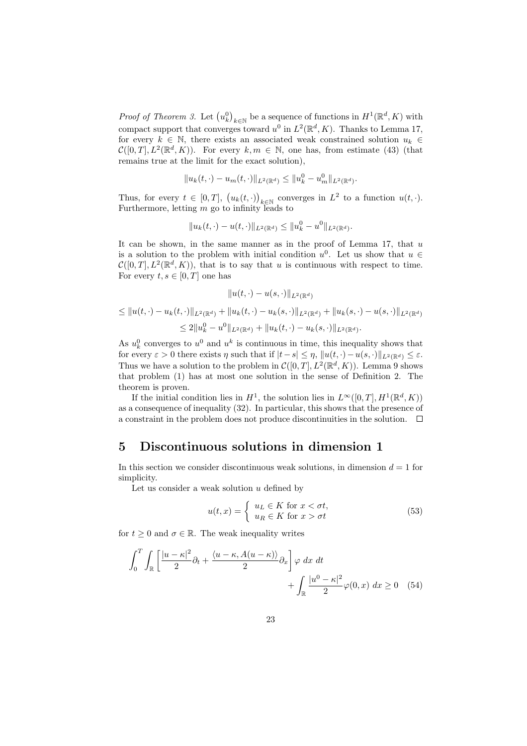*Proof of Theorem 3.* Let  $(u_k^0)_{k \in \mathbb{N}}$  be a sequence of functions in  $H^1(\mathbb{R}^d, K)$  with compact support that converges toward  $u^0$  in  $L^2(\mathbb{R}^d, K)$ . Thanks to Lemma 17, for every  $k \in \mathbb{N}$ , there exists an associated weak constrained solution  $u_k \in$  $\mathcal{C}([0,T], L^2(\mathbb{R}^d, K))$ . For every  $k, m \in \mathbb{N}$ , one has, from estimate (43) (that remains true at the limit for the exact solution),

$$
||u_k(t,\cdot)-u_m(t,\cdot)||_{L^2(\mathbb{R}^d)} \leq ||u_k^0-u_m^0||_{L^2(\mathbb{R}^d)}.
$$

Thus, for every  $t \in [0,T]$ ,  $(u_k(t, \cdot))_{k \in \mathbb{N}}$  converges in  $L^2$  to a function  $u(t, \cdot)$ . Furthermore, letting  $m$  go to infinity leads to

$$
||u_k(t,\cdot)-u(t,\cdot)||_{L^2(\mathbb{R}^d)} \leq ||u_k^0-u^0||_{L^2(\mathbb{R}^d)}.
$$

It can be shown, in the same manner as in the proof of Lemma 17, that  $u$ is a solution to the problem with initial condition  $u^0$ . Let us show that  $u \in$  $\mathcal{C}([0,T], L^2(\mathbb{R}^d, K))$ , that is to say that u is continuous with respect to time. For every  $t,s \in [0,T]$  one has

$$
||u(t, \cdot) - u(s, \cdot)||_{L^{2}(\mathbb{R}^{d})}
$$
  
\n
$$
\leq ||u(t, \cdot) - u_{k}(t, \cdot)||_{L^{2}(\mathbb{R}^{d})} + ||u_{k}(t, \cdot) - u_{k}(s, \cdot)||_{L^{2}(\mathbb{R}^{d})} + ||u_{k}(s, \cdot) - u(s, \cdot)||_{L^{2}(\mathbb{R}^{d})}
$$
  
\n
$$
\leq 2||u_{k}^{0} - u^{0}||_{L^{2}(\mathbb{R}^{d})} + ||u_{k}(t, \cdot) - u_{k}(s, \cdot)||_{L^{2}(\mathbb{R}^{d})}.
$$

As  $u_k^0$  converges to  $u^0$  and  $u^k$  is continuous in time, this inequality shows that for every  $\varepsilon > 0$  there exists  $\eta$  such that if  $|t-s| \leq \eta$ ,  $||u(t, \cdot)-u(s, \cdot)||_{L^2(\mathbb{R}^d)} \leq \varepsilon$ . Thus we have a solution to the problem in  $\mathcal{C}([0,T], L^2(\mathbb{R}^d, K))$ . Lemma 9 shows that problem (1) has at most one solution in the sense of Definition 2. The theorem is proven.

If the initial condition lies in  $H^1$ , the solution lies in  $L^{\infty}([0,T], H^1(\mathbb{R}^d, K))$ as a consequence of inequality (32). In particular, this shows that the presence of a constraint in the problem does not produce discontinuities in the solution.  $\Box$ 

### 5 Discontinuous solutions in dimension 1

In this section we consider discontinuous weak solutions, in dimension  $d = 1$  for simplicity.

Let us consider a weak solution  $u$  defined by

$$
u(t,x) = \begin{cases} u_L \in K \text{ for } x < \sigma t, \\ u_R \in K \text{ for } x > \sigma t \end{cases}
$$
 (53)

for  $t \geq 0$  and  $\sigma \in \mathbb{R}$ . The weak inequality writes

$$
\int_0^T \int_{\mathbb{R}} \left[ \frac{|u - \kappa|^2}{2} \partial_t + \frac{\langle u - \kappa, A(u - \kappa) \rangle}{2} \partial_x \right] \varphi \, dx \, dt + \int_{\mathbb{R}} \frac{|u^0 - \kappa|^2}{2} \varphi(0, x) \, dx \ge 0 \quad (54)
$$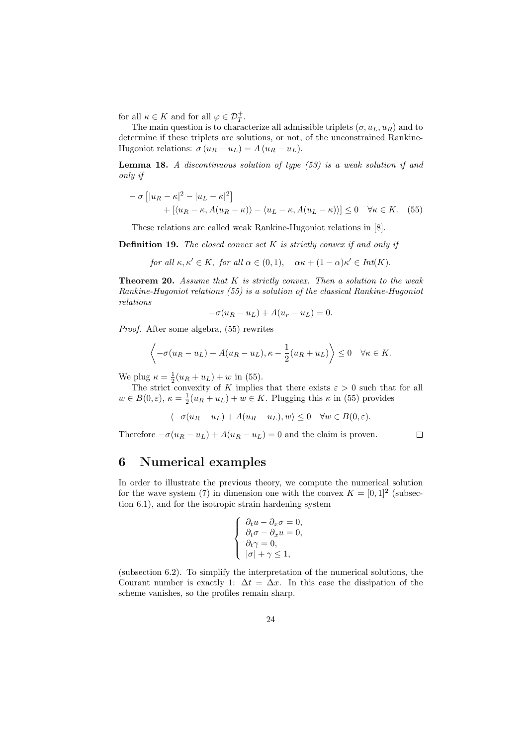for all  $\kappa \in K$  and for all  $\varphi \in \mathcal{D}_T^+$ .

The main question is to characterize all admissible triplets  $(\sigma, u_L, u_R)$  and to determine if these triplets are solutions, or not, of the unconstrained Rankine-Hugoniot relations:  $\sigma (u_R - u_L) = A (u_R - u_L)$ .

Lemma 18. *A discontinuous solution of type (53) is a weak solution if and only if*

$$
- \sigma \left[ |u_R - \kappa|^2 - |u_L - \kappa|^2 \right] + \left[ \langle u_R - \kappa, A(u_R - \kappa) \rangle - \langle u_L - \kappa, A(u_L - \kappa) \rangle \right] \le 0 \quad \forall \kappa \in K. \tag{55}
$$

These relations are called weak Rankine-Hugoniot relations in [8].

Definition 19. *The closed convex set* K *is strictly convex if and only if*

for all 
$$
\kappa, \kappa' \in K
$$
, for all  $\alpha \in (0, 1)$ ,  $\alpha \kappa + (1 - \alpha)\kappa' \in Int(K)$ .

Theorem 20. *Assume that* K *is strictly convex. Then a solution to the weak Rankine-Hugoniot relations (55) is a solution of the classical Rankine-Hugoniot relations*

$$
-\sigma(u_R - u_L) + A(u_r - u_L) = 0.
$$

*Proof.* After some algebra, (55) rewrites

$$
\left\langle -\sigma(u_R - u_L) + A(u_R - u_L), \kappa - \frac{1}{2}(u_R + u_L) \right\rangle \le 0 \quad \forall \kappa \in K.
$$

We plug  $\kappa = \frac{1}{2}(u_R + u_L) + w$  in (55).

The strict convexity of K implies that there exists  $\varepsilon > 0$  such that for all  $w \in B(0,\varepsilon)$ ,  $\kappa = \frac{1}{2}(u_R + u_L) + w \in K$ . Plugging this  $\kappa$  in (55) provides

$$
\langle -\sigma(u_R - u_L) + A(u_R - u_L), w \rangle \le 0 \quad \forall w \in B(0, \varepsilon).
$$

Therefore  $-\sigma(u_R - u_L) + A(u_R - u_L) = 0$  and the claim is proven.

### $\Box$

### 6 Numerical examples

In order to illustrate the previous theory, we compute the numerical solution for the wave system (7) in dimension one with the convex  $K = [0, 1]^2$  (subsection 6.1), and for the isotropic strain hardening system

$$
\begin{cases}\n\partial_t u - \partial_x \sigma = 0, \\
\partial_t \sigma - \partial_x u = 0, \\
\partial_t \gamma = 0, \\
|\sigma| + \gamma \le 1,\n\end{cases}
$$

(subsection 6.2). To simplify the interpretation of the numerical solutions, the Courant number is exactly 1:  $\Delta t = \Delta x$ . In this case the dissipation of the scheme vanishes, so the profiles remain sharp.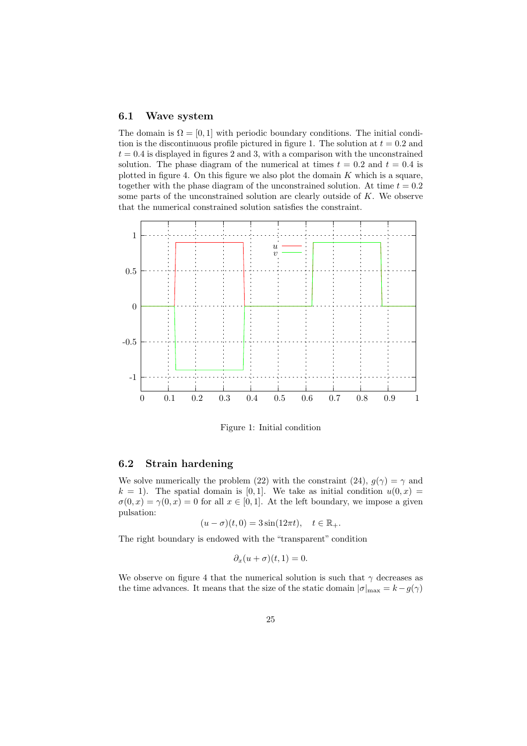### 6.1 Wave system

The domain is  $\Omega = [0, 1]$  with periodic boundary conditions. The initial condition is the discontinuous profile pictured in figure 1. The solution at  $t = 0.2$  and  $t = 0.4$  is displayed in figures 2 and 3, with a comparison with the unconstrained solution. The phase diagram of the numerical at times  $t = 0.2$  and  $t = 0.4$  is plotted in figure 4. On this figure we also plot the domain  $K$  which is a square, together with the phase diagram of the unconstrained solution. At time  $t = 0.2$ some parts of the unconstrained solution are clearly outside of  $K$ . We observe that the numerical constrained solution satisfies the constraint.



Figure 1: Initial condition

### 6.2 Strain hardening

We solve numerically the problem (22) with the constraint (24),  $g(\gamma) = \gamma$  and  $k = 1$ . The spatial domain is [0,1]. We take as initial condition  $u(0, x) =$  $\sigma(0,x) = \gamma(0,x) = 0$  for all  $x \in [0,1]$ . At the left boundary, we impose a given pulsation:

$$
(u - \sigma)(t, 0) = 3\sin(12\pi t), \quad t \in \mathbb{R}_+.
$$

The right boundary is endowed with the "transparent" condition

$$
\partial_x(u+\sigma)(t,1)=0.
$$

We observe on figure 4 that the numerical solution is such that  $\gamma$  decreases as the time advances. It means that the size of the static domain  $|\sigma|_{\text{max}} = k - g(\gamma)$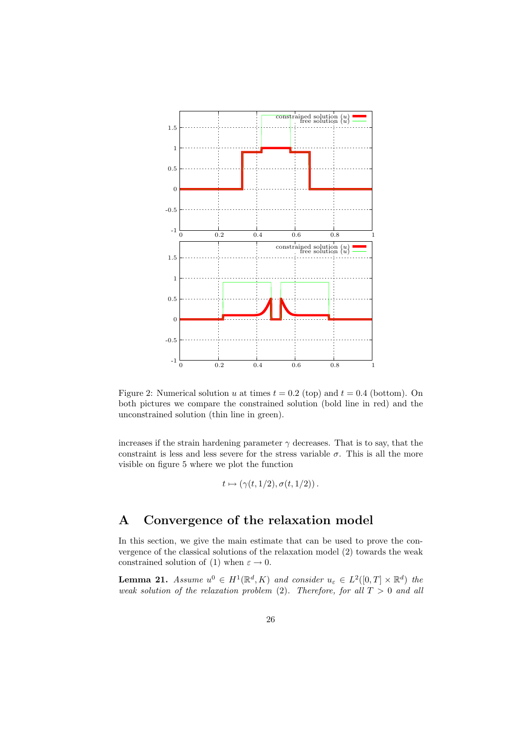

Figure 2: Numerical solution u at times  $t = 0.2$  (top) and  $t = 0.4$  (bottom). On both pictures we compare the constrained solution (bold line in red) and the unconstrained solution (thin line in green).

increases if the strain hardening parameter  $\gamma$  decreases. That is to say, that the constraint is less and less severe for the stress variable  $\sigma$ . This is all the more visible on figure 5 where we plot the function

$$
t\mapsto (\gamma(t,1/2),\sigma(t,1/2))\,.
$$

## A Convergence of the relaxation model

In this section, we give the main estimate that can be used to prove the convergence of the classical solutions of the relaxation model (2) towards the weak constrained solution of (1) when  $\varepsilon \to 0$ .

**Lemma 21.** *Assume*  $u^0 \in H^1(\mathbb{R}^d, K)$  *and consider*  $u_{\varepsilon} \in L^2([0, T] \times \mathbb{R}^d)$  *the weak solution of the relaxation problem* (2). Therefore, for all  $T > 0$  and all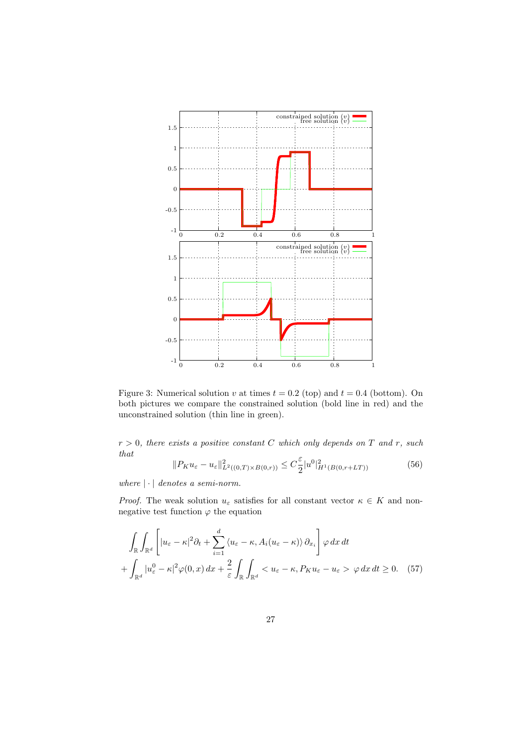

Figure 3: Numerical solution v at times  $t = 0.2$  (top) and  $t = 0.4$  (bottom). On both pictures we compare the constrained solution (bold line in red) and the unconstrained solution (thin line in green).

r > 0*, there exists a positive constant* C *which only depends on* T *and* r*, such that*

$$
||P_K u_\varepsilon - u_\varepsilon||^2_{L^2((0,T)\times B(0,r))} \leq C\frac{\varepsilon}{2}|u^0|_{H^1(B(0,r+LT))}^2
$$
\n
$$
(56)
$$

*where*  $|\cdot|$  *denotes a semi-norm.* 

*Proof.* The weak solution  $u_{\varepsilon}$  satisfies for all constant vector  $\kappa \in K$  and nonnegative test function  $\varphi$  the equation

$$
\int_{\mathbb{R}} \int_{\mathbb{R}^d} \left[ |u_{\varepsilon} - \kappa|^2 \partial_t + \sum_{i=1}^d \langle u_{\varepsilon} - \kappa, A_i (u_{\varepsilon} - \kappa) \rangle \partial_{x_i} \right] \varphi \, dx \, dt
$$
\n
$$
+ \int_{\mathbb{R}^d} |u_{\varepsilon}^0 - \kappa|^2 \varphi(0, x) \, dx + \frac{2}{\varepsilon} \int_{\mathbb{R}} \int_{\mathbb{R}^d} \langle u_{\varepsilon} - \kappa, P_K u_{\varepsilon} - u_{\varepsilon} \rangle \varphi \, dx \, dt \ge 0. \tag{57}
$$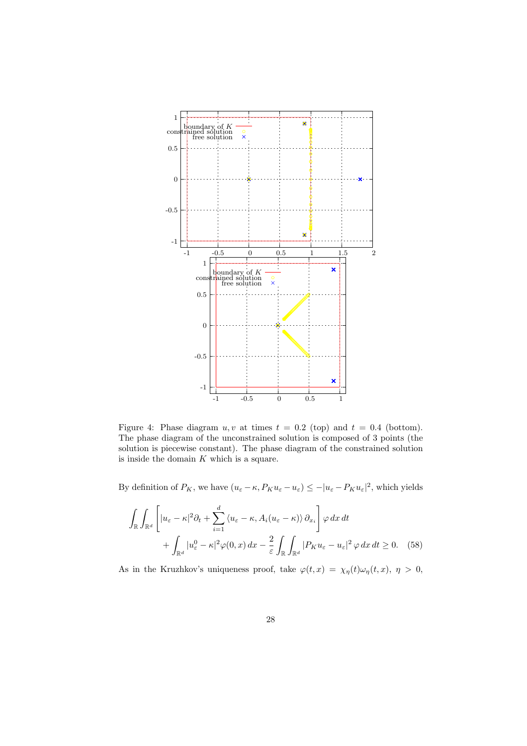

Figure 4: Phase diagram  $u, v$  at times  $t = 0.2$  (top) and  $t = 0.4$  (bottom). The phase diagram of the unconstrained solution is composed of 3 points (the solution is piecewise constant). The phase diagram of the constrained solution is inside the domain  $K$  which is a square.

By definition of  $P_K$ , we have  $(u_\varepsilon - \kappa, P_K u_\varepsilon - u_\varepsilon) \leq -|u_\varepsilon - P_K u_\varepsilon|^2$ , which yields

$$
\int_{\mathbb{R}} \int_{\mathbb{R}^d} \left[ |u_{\varepsilon} - \kappa|^2 \partial_t + \sum_{i=1}^d \langle u_{\varepsilon} - \kappa, A_i (u_{\varepsilon} - \kappa) \rangle \partial_{x_i} \right] \varphi \, dx \, dt \n+ \int_{\mathbb{R}^d} |u_{\varepsilon}^0 - \kappa|^2 \varphi(0, x) \, dx - \frac{2}{\varepsilon} \int_{\mathbb{R}} \int_{\mathbb{R}^d} |P_K u_{\varepsilon} - u_{\varepsilon}|^2 \varphi \, dx \, dt \ge 0. \tag{58}
$$

As in the Kruzhkov's uniqueness proof, take  $\varphi(t,x) = \chi_{\eta}(t)\omega_{\eta}(t,x), \eta > 0$ ,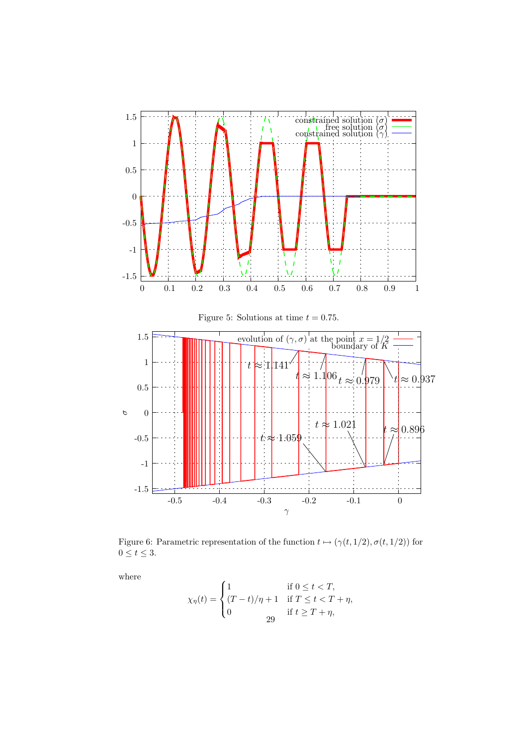

Figure 6: Parametric representation of the function  $t \mapsto (\gamma(t, 1/2), \sigma(t, 1/2))$  for  $0\leq t\leq 3.$ 

where

$$
\chi_{\eta}(t) = \begin{cases}\n1 & \text{if } 0 \leq t < T, \\
(T - t)/\eta + 1 & \text{if } T \leq t < T + \eta, \\
0 & \text{if } t \geq T + \eta,\n\end{cases}
$$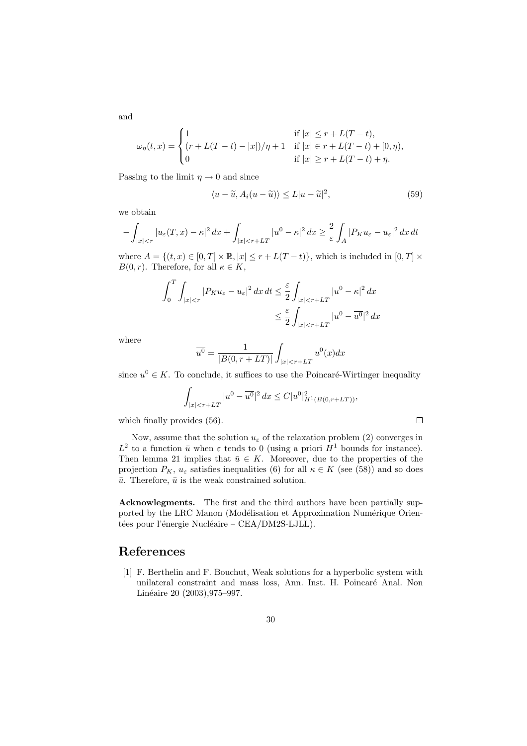$\omega_{\eta}(t,x) =$  $\sqrt{ }$  $\int$  $\overline{a}$ 1 if  $|x| \le r + L(T - t),$  $(r + L(T - t) - |x|)/\eta + 1$  if  $|x| \in r + L(T - t) + [0, \eta)$ , 0 if  $|x| \ge r + L(T - t) + \eta$ .

Passing to the limit  $\eta \to 0$  and since

$$
\langle u - \tilde{u}, A_i(u - \tilde{u}) \rangle \le L |u - \tilde{u}|^2,
$$
\n(59)

we obtain

$$
-\int_{|x|< r}|u_\varepsilon(T,x)-\kappa|^2\,dx+\int_{|x|< r+LT}|u^0-\kappa|^2\,dx\geq \frac{2}{\varepsilon}\int_A|P_Ku_\varepsilon-u_\varepsilon|^2\,dx\,dt
$$

where  $A = \{(t, x) \in [0, T] \times \mathbb{R}, |x| \leq r + L(T - t)\}\)$ , which is included in  $[0, T] \times$  $B(0,r)$ . Therefore, for all  $\kappa \in K$ ,

$$
\int_0^T \int_{|x|\n
$$
\leq \frac{\varepsilon}{2} \int_{|x|
$$
$$

where

$$
\overline{u^{0}} = \frac{1}{|B(0, r + LT)|} \int_{|x| < r + LT} u^{0}(x) dx
$$

since  $u^0 \in K$ . To conclude, it suffices to use the Poincaré-Wirtinger inequality

$$
\int_{|x| < r + LT} |u^0 - \overline{u^0}|^2 \, dx \leq C |u^0|_{H^1(B(0, r + LT))}^2,
$$

which finally provides (56).

Now, assume that the solution  $u_{\varepsilon}$  of the relaxation problem (2) converges in  $L^2$  to a function  $\bar{u}$  when  $\varepsilon$  tends to 0 (using a priori  $H^1$  bounds for instance). Then lemma 21 implies that  $\bar{u} \in K$ . Moreover, due to the properties of the projection  $P_K$ ,  $u_{\varepsilon}$  satisfies inequalities (6) for all  $\kappa \in K$  (see (58)) and so does  $\bar{u}$ . Therefore,  $\bar{u}$  is the weak constrained solution.

Acknowlegments. The first and the third authors have been partially supported by the LRC Manon (Modélisation et Approximation Numérique Orientées pour l'énergie Nucléaire – CEA/DM2S-LJLL).

### References

[1] F. Berthelin and F. Bouchut, Weak solutions for a hyperbolic system with unilateral constraint and mass loss, Ann. Inst. H. Poincaré Anal. Non Linéaire 20 (2003), 975–997.

and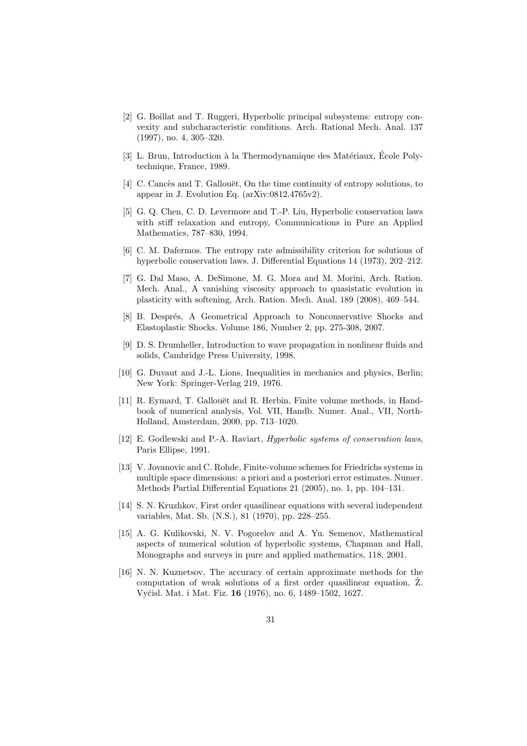- [2] G. Boillat and T. Ruggeri, Hyperbolic principal subsystems: entropy convexity and subcharacteristic conditions. Arch. Rational Mech. Anal. 137 (1997), no. 4, 305–320.
- [3] L. Brun, Introduction à la Thermodynamique des Matériaux, École Polytechnique, France, 1989.
- [4] C. Cancès and T. Gallouët, On the time continuity of entropy solutions, to appear in J. Evolution Eq. (arXiv:0812.4765v2).
- [5] G. Q. Chen, C. D. Levermore and T.-P. Liu, Hyperbolic conservation laws with stiff relaxation and entropy, Communications in Pure an Applied Mathematics, 787–830, 1994.
- [6] C. M. Dafermos. The entropy rate admissibility criterion for solutions of hyperbolic conservation laws. J. Differential Equations 14 (1973), 202–212.
- [7] G. Dal Maso, A. DeSimone, M. G. Mora and M. Morini, Arch. Ration. Mech. Anal., A vanishing viscosity approach to quasistatic evolution in plasticity with softening, Arch. Ration. Mech. Anal. 189 (2008), 469–544.
- [8] B. Després, A Geometrical Approach to Nonconservative Shocks and Elastoplastic Shocks. Volume 186, Number 2, pp. 275-308, 2007.
- [9] D. S. Drumheller, Introduction to wave propagation in nonlinear fluids and solids, Cambridge Press University, 1998.
- [10] G. Duvaut and J.-L. Lions, Inequalities in mechanics and physics, Berlin; New York: Springer-Verlag 219, 1976.
- [11] R. Eymard, T. Gallouët and R. Herbin, Finite volume methods, in Handbook of numerical analysis, Vol. VII, Handb. Numer. Anal., VII, North-Holland, Amsterdam, 2000, pp. 713–1020.
- [12] E. Godlewski and P.-A. Raviart, *Hyperbolic systems of conservation laws*, Paris Ellipse, 1991.
- [13] V. Jovanovic and C. Rohde, Finite-volume schemes for Friedrichs systems in multiple space dimensions: a priori and a posteriori error estimates. Numer. Methods Partial Differential Equations 21 (2005), no. 1, pp. 104–131.
- [14] S. N. Kruzhkov, First order quasilinear equations with several independent variables, Mat. Sb. (N.S.), 81 (1970), pp. 228–255.
- [15] A. G. Kulikovski, N. V. Pogorelov and A. Yu. Semenov, Mathematical aspects of numerical solution of hyperbolic systems, Chapman and Hall, Monographs and surveys in pure and applied mathematics, 118, 2001.
- [16] N. N. Kuznetsov, The accuracy of certain approximate methods for the computation of weak solutions of a first order quasilinear equation,  $\check{Z}$ . Vyčisl. Mat. i Mat. Fiz. 16 (1976), no. 6, 1489–1502, 1627.